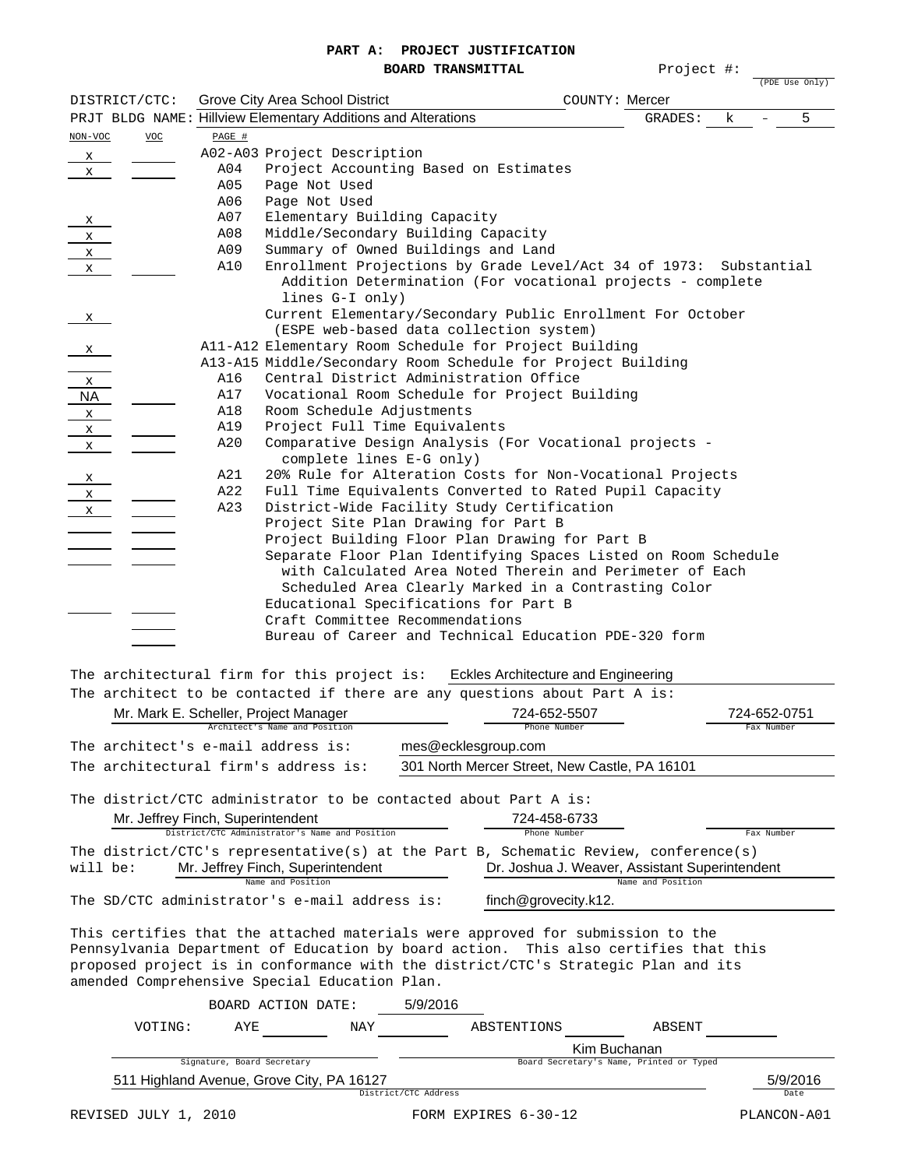## **PART A: PROJECT JUSTIFICATION**

|                                                      |                      |                                   | PARI A;                                                                                               |                          | LKOOFCT OOPTIETCHITOM |                                                            |                |
|------------------------------------------------------|----------------------|-----------------------------------|-------------------------------------------------------------------------------------------------------|--------------------------|-----------------------|------------------------------------------------------------|----------------|
|                                                      |                      |                                   |                                                                                                       | <b>BOARD TRANSMITTAL</b> |                       | Project #:                                                 | (PDE Use Only) |
| DISTRICT/CTC:                                        |                      |                                   | Grove City Area School District                                                                       |                          |                       | COUNTY: Mercer                                             |                |
|                                                      |                      |                                   | PRJT BLDG NAME: Hillview Elementary Additions and Alterations                                         |                          |                       |                                                            | 5<br>k         |
|                                                      |                      |                                   |                                                                                                       |                          |                       | GRADES:                                                    |                |
| NON-VOC                                              | <b>VOC</b>           | PAGE #                            |                                                                                                       |                          |                       |                                                            |                |
| $\mathsf{x}$                                         |                      |                                   | A02-A03 Project Description                                                                           |                          |                       |                                                            |                |
| X.                                                   |                      | A04                               | Project Accounting Based on Estimates                                                                 |                          |                       |                                                            |                |
|                                                      |                      | A05<br>A06                        | Page Not Used                                                                                         |                          |                       |                                                            |                |
|                                                      |                      | A07                               | Page Not Used                                                                                         |                          |                       |                                                            |                |
|                                                      |                      | A08                               | Elementary Building Capacity<br>Middle/Secondary Building Capacity                                    |                          |                       |                                                            |                |
|                                                      |                      | A09                               | Summary of Owned Buildings and Land                                                                   |                          |                       |                                                            |                |
| $\begin{array}{c} x \\ x \\ x \\ x \\ x \end{array}$ |                      | A10                               | Enrollment Projections by Grade Level/Act 34 of 1973:                                                 |                          |                       |                                                            | Substantial    |
|                                                      |                      |                                   | lines G-I only)                                                                                       |                          |                       | Addition Determination (For vocational projects - complete |                |
| X.                                                   |                      |                                   | Current Elementary/Secondary Public Enrollment For October<br>(ESPE web-based data collection system) |                          |                       |                                                            |                |
|                                                      |                      |                                   | All-Al2 Elementary Room Schedule for Project Building                                                 |                          |                       |                                                            |                |
| X.                                                   |                      |                                   | Al3-Al5 Middle/Secondary Room Schedule for Project Building                                           |                          |                       |                                                            |                |
|                                                      |                      | A16                               | Central District Administration Office                                                                |                          |                       |                                                            |                |
|                                                      |                      | A17                               | Vocational Room Schedule for Project Building                                                         |                          |                       |                                                            |                |
| $\frac{x}{NA}$ $\frac{x}{x}$                         |                      | A18                               | Room Schedule Adjustments                                                                             |                          |                       |                                                            |                |
|                                                      |                      | A19                               | Project Full Time Equivalents                                                                         |                          |                       |                                                            |                |
| $\mathbf{x}$                                         |                      | A20                               | Comparative Design Analysis (For Vocational projects -                                                |                          |                       |                                                            |                |
|                                                      |                      |                                   | complete lines E-G only)                                                                              |                          |                       |                                                            |                |
| $\frac{\mathsf{x}}{\mathsf{y}}$                      |                      | A21                               | 20% Rule for Alteration Costs for Non-Vocational Projects                                             |                          |                       |                                                            |                |
| $\frac{x}{x}$                                        |                      | A22                               | Full Time Equivalents Converted to Rated Pupil Capacity                                               |                          |                       |                                                            |                |
|                                                      |                      | A23                               | District-Wide Facility Study Certification                                                            |                          |                       |                                                            |                |
|                                                      |                      |                                   | Project Site Plan Drawing for Part B                                                                  |                          |                       |                                                            |                |
|                                                      |                      |                                   | Project Building Floor Plan Drawing for Part B                                                        |                          |                       |                                                            |                |
|                                                      |                      |                                   | Separate Floor Plan Identifying Spaces Listed on Room Schedule                                        |                          |                       | with Calculated Area Noted Therein and Perimeter of Each   |                |
|                                                      |                      |                                   |                                                                                                       |                          |                       | Scheduled Area Clearly Marked in a Contrasting Color       |                |
|                                                      |                      |                                   | Educational Specifications for Part B                                                                 |                          |                       |                                                            |                |
|                                                      |                      |                                   | Craft Committee Recommendations                                                                       |                          |                       |                                                            |                |
|                                                      |                      |                                   | Bureau of Career and Technical Education PDE-320 form                                                 |                          |                       |                                                            |                |
|                                                      |                      |                                   |                                                                                                       |                          |                       |                                                            |                |
|                                                      |                      |                                   | The architectural firm for this project is: Eckles Architecture and Engineering                       |                          |                       |                                                            |                |
|                                                      |                      |                                   | The architect to be contacted if there are any questions about Part A is:                             |                          |                       |                                                            |                |
|                                                      |                      |                                   | Mr. Mark E. Scheller, Project Manager                                                                 |                          | 724-652-5507          |                                                            | 724-652-0751   |
|                                                      |                      |                                   | Architect's Name and Position                                                                         |                          | Phone Number          |                                                            | Fax Number     |
|                                                      |                      |                                   | The architect's e-mail address is:                                                                    |                          | mes@ecklesgroup.com   |                                                            |                |
|                                                      |                      |                                   | The architectural firm's address is:                                                                  |                          |                       | 301 North Mercer Street, New Castle, PA 16101              |                |
|                                                      |                      |                                   |                                                                                                       |                          |                       |                                                            |                |
|                                                      |                      |                                   | The district/CTC administrator to be contacted about Part A is:                                       |                          |                       |                                                            |                |
|                                                      |                      |                                   |                                                                                                       |                          | 724-458-6733          |                                                            |                |
|                                                      |                      | Mr. Jeffrey Finch, Superintendent | District/CTC Administrator's Name and Position                                                        |                          | Phone Number          |                                                            | Fax Number     |
|                                                      |                      |                                   | The district/CTC's representative(s) at the Part B, Schematic Review, conference(s)                   |                          |                       |                                                            |                |
| will be:                                             |                      |                                   | Mr. Jeffrey Finch, Superintendent                                                                     |                          |                       | Dr. Joshua J. Weaver, Assistant Superintendent             |                |
|                                                      |                      |                                   |                                                                                                       |                          |                       | Name and Position                                          |                |
|                                                      |                      |                                   | The SD/CTC administrator's e-mail address is:                                                         |                          | finch@grovecity.k12.  |                                                            |                |
|                                                      |                      |                                   | This certifies that the attached materials were approved for submission to the                        |                          |                       |                                                            |                |
|                                                      |                      |                                   | Pennsylvania Department of Education by board action. This also certifies that this                   |                          |                       |                                                            |                |
|                                                      |                      |                                   | proposed project is in conformance with the district/CTC's Strategic Plan and its                     |                          |                       |                                                            |                |
|                                                      |                      |                                   | amended Comprehensive Special Education Plan.                                                         |                          |                       |                                                            |                |
|                                                      |                      |                                   |                                                                                                       |                          |                       |                                                            |                |
|                                                      |                      |                                   | BOARD ACTION DATE:                                                                                    | 5/9/2016                 |                       |                                                            |                |
|                                                      | VOTING:              | AYE                               | NAY                                                                                                   |                          | ABSTENTIONS           | ABSENT                                                     |                |
|                                                      |                      |                                   |                                                                                                       |                          |                       |                                                            |                |
|                                                      |                      | Signature, Board Secretary        |                                                                                                       |                          |                       | Kim Buchanan<br>Board Secretary's Name, Printed or Typed   |                |
|                                                      |                      |                                   | 511 Highland Avenue, Grove City, PA 16127                                                             |                          |                       |                                                            | 5/9/2016       |
|                                                      |                      |                                   |                                                                                                       | District/CTC Address     |                       |                                                            | Date           |
|                                                      | REVISED JULY 1, 2010 |                                   |                                                                                                       |                          | FORM EXPIRES 6-30-12  |                                                            | PLANCON-A01    |
|                                                      |                      |                                   |                                                                                                       |                          |                       |                                                            |                |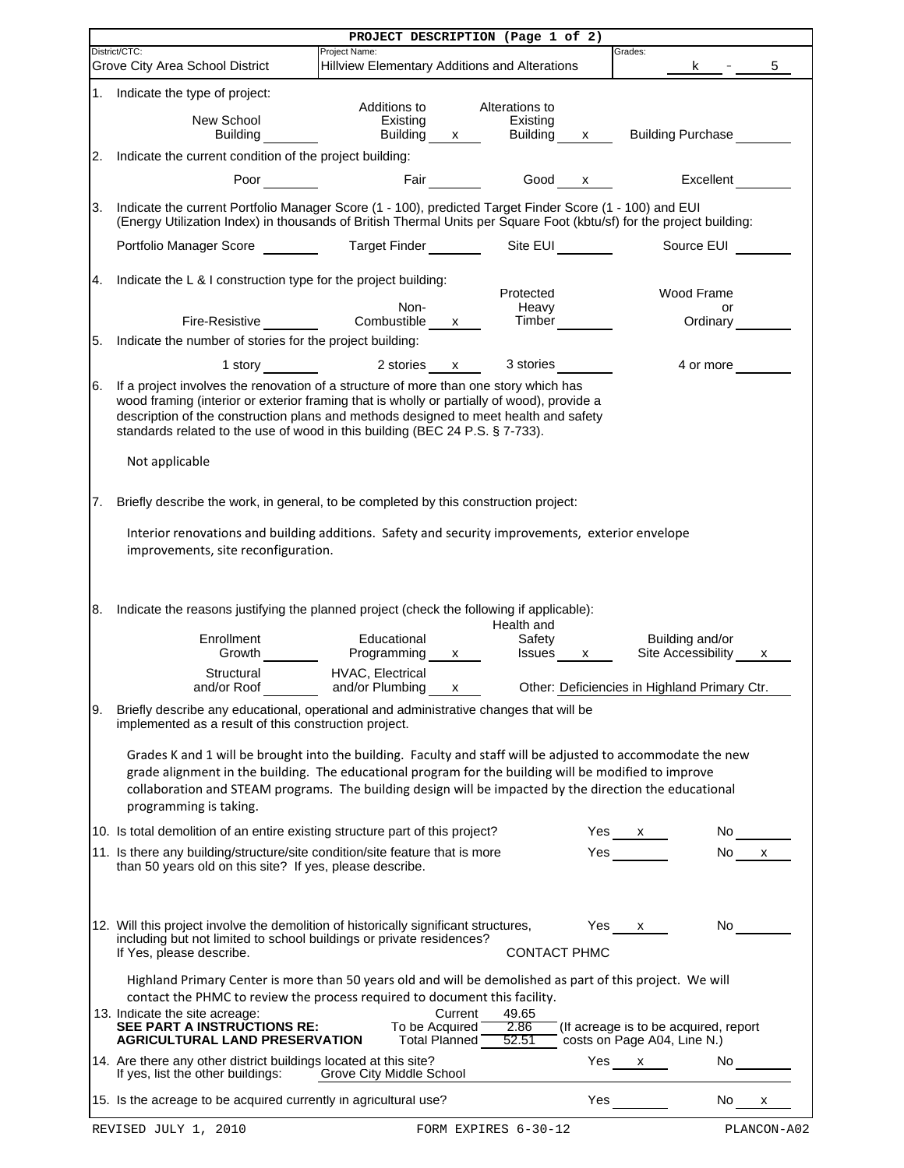|    | PROJECT DESCRIPTION (Page 1 of 2)                                                                                                                                                                                                                                                                                                                          |                                                                |                               |                              |              |                                              |                                                                                                                                                                                                                                |  |  |  |  |
|----|------------------------------------------------------------------------------------------------------------------------------------------------------------------------------------------------------------------------------------------------------------------------------------------------------------------------------------------------------------|----------------------------------------------------------------|-------------------------------|------------------------------|--------------|----------------------------------------------|--------------------------------------------------------------------------------------------------------------------------------------------------------------------------------------------------------------------------------|--|--|--|--|
|    | District/CTC:<br>Grove City Area School District                                                                                                                                                                                                                                                                                                           | Project Name:<br>Hillview Elementary Additions and Alterations |                               |                              |              | Grades:<br>K .                               | 5                                                                                                                                                                                                                              |  |  |  |  |
| 1. | Indicate the type of project:                                                                                                                                                                                                                                                                                                                              |                                                                |                               |                              |              |                                              |                                                                                                                                                                                                                                |  |  |  |  |
|    |                                                                                                                                                                                                                                                                                                                                                            | Additions to                                                   |                               | Alterations to               |              |                                              |                                                                                                                                                                                                                                |  |  |  |  |
|    | New School<br><b>Building</b>                                                                                                                                                                                                                                                                                                                              | Existing<br><b>Building</b>                                    | $\mathsf{X}$                  | Existing<br>Building         | $\mathsf{X}$ | Building Purchase                            |                                                                                                                                                                                                                                |  |  |  |  |
|    |                                                                                                                                                                                                                                                                                                                                                            |                                                                |                               |                              |              |                                              |                                                                                                                                                                                                                                |  |  |  |  |
| 2. | Indicate the current condition of the project building:                                                                                                                                                                                                                                                                                                    |                                                                |                               |                              |              |                                              |                                                                                                                                                                                                                                |  |  |  |  |
|    | <b>Poor</b>                                                                                                                                                                                                                                                                                                                                                |                                                                | <b>Fair Exercise Exercise</b> |                              | Good $x$     |                                              | Excellent                                                                                                                                                                                                                      |  |  |  |  |
| 3. | Indicate the current Portfolio Manager Score (1 - 100), predicted Target Finder Score (1 - 100) and EUI<br>(Energy Utilization Index) in thousands of British Thermal Units per Square Foot (kbtu/sf) for the project building:                                                                                                                            |                                                                |                               |                              |              |                                              |                                                                                                                                                                                                                                |  |  |  |  |
|    | Portfolio Manager Score ________                                                                                                                                                                                                                                                                                                                           | Target Finder _______                                          |                               | Site EUI <sub>________</sub> |              | Source EUI                                   |                                                                                                                                                                                                                                |  |  |  |  |
| 4. | Indicate the L & I construction type for the project building:                                                                                                                                                                                                                                                                                             |                                                                |                               |                              |              |                                              |                                                                                                                                                                                                                                |  |  |  |  |
|    |                                                                                                                                                                                                                                                                                                                                                            | Non-                                                           |                               | Protected<br>Heavy           |              | Wood Frame                                   | or                                                                                                                                                                                                                             |  |  |  |  |
|    | Fire-Resistive <b>Example</b>                                                                                                                                                                                                                                                                                                                              | Combustible                                                    | $\mathsf{X}$                  | Timber                       |              | Ordinary                                     |                                                                                                                                                                                                                                |  |  |  |  |
| 5. | Indicate the number of stories for the project building:                                                                                                                                                                                                                                                                                                   |                                                                |                               |                              |              |                                              |                                                                                                                                                                                                                                |  |  |  |  |
|    | 1 story and the state of the state of the state of the state of the state of the state of the state of the state of the state of the state of the state of the state of the state of the state of the state of the state of th                                                                                                                             | 2 stories                                                      | x                             | 3 stories                    |              | 4 or more                                    |                                                                                                                                                                                                                                |  |  |  |  |
|    |                                                                                                                                                                                                                                                                                                                                                            |                                                                |                               |                              |              |                                              |                                                                                                                                                                                                                                |  |  |  |  |
| 6. | If a project involves the renovation of a structure of more than one story which has<br>wood framing (interior or exterior framing that is wholly or partially of wood), provide a<br>description of the construction plans and methods designed to meet health and safety<br>standards related to the use of wood in this building (BEC 24 P.S. § 7-733). |                                                                |                               |                              |              |                                              |                                                                                                                                                                                                                                |  |  |  |  |
|    | Not applicable                                                                                                                                                                                                                                                                                                                                             |                                                                |                               |                              |              |                                              |                                                                                                                                                                                                                                |  |  |  |  |
| 7. | Briefly describe the work, in general, to be completed by this construction project:                                                                                                                                                                                                                                                                       |                                                                |                               |                              |              |                                              |                                                                                                                                                                                                                                |  |  |  |  |
| 8. | Interior renovations and building additions. Safety and security improvements, exterior envelope<br>improvements, site reconfiguration.<br>Indicate the reasons justifying the planned project (check the following if applicable):                                                                                                                        |                                                                |                               |                              |              |                                              |                                                                                                                                                                                                                                |  |  |  |  |
|    |                                                                                                                                                                                                                                                                                                                                                            |                                                                |                               | Health and                   |              |                                              |                                                                                                                                                                                                                                |  |  |  |  |
|    | Enrollment<br>Growth                                                                                                                                                                                                                                                                                                                                       | Educational<br>Programming                                     | x                             | Safety<br>Issues x           |              | Building and/or<br>Site Accessibility        | x                                                                                                                                                                                                                              |  |  |  |  |
|    |                                                                                                                                                                                                                                                                                                                                                            | HVAC, Electrical                                               |                               |                              |              |                                              |                                                                                                                                                                                                                                |  |  |  |  |
|    | Structural<br>and/or Roof                                                                                                                                                                                                                                                                                                                                  | and/or Plumbing                                                | X                             |                              |              | Other: Deficiencies in Highland Primary Ctr. |                                                                                                                                                                                                                                |  |  |  |  |
| 9. | Briefly describe any educational, operational and administrative changes that will be<br>implemented as a result of this construction project.                                                                                                                                                                                                             |                                                                |                               |                              |              |                                              |                                                                                                                                                                                                                                |  |  |  |  |
|    | Grades K and 1 will be brought into the building. Faculty and staff will be adjusted to accommodate the new<br>grade alignment in the building. The educational program for the building will be modified to improve<br>collaboration and STEAM programs. The building design will be impacted by the direction the educational                            |                                                                |                               |                              |              |                                              |                                                                                                                                                                                                                                |  |  |  |  |
|    | programming is taking.                                                                                                                                                                                                                                                                                                                                     |                                                                |                               |                              |              |                                              |                                                                                                                                                                                                                                |  |  |  |  |
|    | 10. Is total demolition of an entire existing structure part of this project?                                                                                                                                                                                                                                                                              |                                                                |                               |                              |              |                                              |                                                                                                                                                                                                                                |  |  |  |  |
|    |                                                                                                                                                                                                                                                                                                                                                            |                                                                |                               |                              |              | Yes $x$                                      | No                                                                                                                                                                                                                             |  |  |  |  |
|    | 11. Is there any building/structure/site condition/site feature that is more<br>than 50 years old on this site? If yes, please describe.                                                                                                                                                                                                                   |                                                                |                               |                              |              | Yes                                          | No l<br>$\mathsf{X}$                                                                                                                                                                                                           |  |  |  |  |
|    | 12. Will this project involve the demolition of historically significant structures,                                                                                                                                                                                                                                                                       |                                                                |                               |                              |              | Yes x                                        | No control to the North State of the North State of the North State of the North State of the North State of the North State of the North State of the North State of the North State of the North State of the North State of |  |  |  |  |
|    | including but not limited to school buildings or private residences?<br>If Yes, please describe.                                                                                                                                                                                                                                                           |                                                                |                               | <b>CONTACT PHMC</b>          |              |                                              |                                                                                                                                                                                                                                |  |  |  |  |
|    | Highland Primary Center is more than 50 years old and will be demolished as part of this project. We will<br>contact the PHMC to review the process required to document this facility.                                                                                                                                                                    |                                                                |                               |                              |              |                                              |                                                                                                                                                                                                                                |  |  |  |  |
|    | 13. Indicate the site acreage:                                                                                                                                                                                                                                                                                                                             |                                                                | Current                       | 49.65                        |              |                                              |                                                                                                                                                                                                                                |  |  |  |  |
|    | SEE PART A INSTRUCTIONS RE:<br><b>AGRICULTURAL LAND PRESERVATION</b>                                                                                                                                                                                                                                                                                       | To be Acquired                                                 |                               | 2.86<br>52.51                |              | (If acreage is to be acquired, report        |                                                                                                                                                                                                                                |  |  |  |  |
|    | 14. Are there any other district buildings located at this site?                                                                                                                                                                                                                                                                                           |                                                                | Total Planned                 |                              |              | costs on Page A04, Line N.)<br>$Yes \_ x$    | $No$ <sub>___</sub>                                                                                                                                                                                                            |  |  |  |  |
|    | If yes, list the other buildings:<br>15. Is the acreage to be acquired currently in agricultural use?                                                                                                                                                                                                                                                      | Grove City Middle School                                       |                               |                              |              | <b>Yes</b>                                   | $No$ $x$                                                                                                                                                                                                                       |  |  |  |  |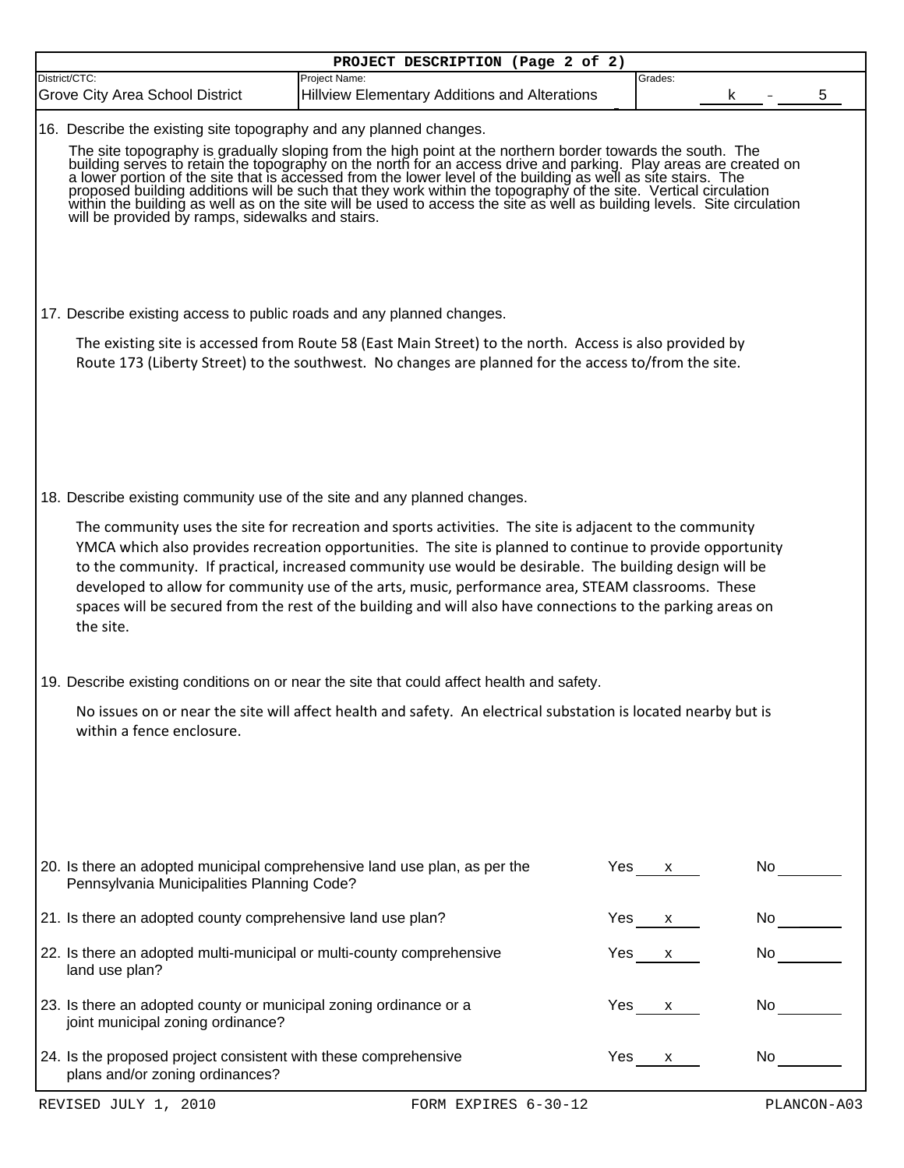|                                                                                                                         | PROJECT DESCRIPTION (Page 2 of 2)                                                                                                                                                                                                                                                                                                                                                                                                                                                                                                                    |     |              |             |
|-------------------------------------------------------------------------------------------------------------------------|------------------------------------------------------------------------------------------------------------------------------------------------------------------------------------------------------------------------------------------------------------------------------------------------------------------------------------------------------------------------------------------------------------------------------------------------------------------------------------------------------------------------------------------------------|-----|--------------|-------------|
| District/CTC:<br>Grove City Area School District                                                                        | Project Name:<br><b>Hillview Elementary Additions and Alterations</b>                                                                                                                                                                                                                                                                                                                                                                                                                                                                                |     | Grades:      |             |
|                                                                                                                         |                                                                                                                                                                                                                                                                                                                                                                                                                                                                                                                                                      |     |              |             |
| 16. Describe the existing site topography and any planned changes.                                                      | The site topography is gradually sloping from the high point at the northern border towards the south. The building serves to retain the topography on the north for an access drive and parking. Play areas are created on a                                                                                                                                                                                                                                                                                                                        |     |              |             |
| 17. Describe existing access to public roads and any planned changes.                                                   |                                                                                                                                                                                                                                                                                                                                                                                                                                                                                                                                                      |     |              |             |
|                                                                                                                         | The existing site is accessed from Route 58 (East Main Street) to the north. Access is also provided by<br>Route 173 (Liberty Street) to the southwest. No changes are planned for the access to/from the site.                                                                                                                                                                                                                                                                                                                                      |     |              |             |
| 18. Describe existing community use of the site and any planned changes.                                                |                                                                                                                                                                                                                                                                                                                                                                                                                                                                                                                                                      |     |              |             |
| the site.                                                                                                               | The community uses the site for recreation and sports activities. The site is adjacent to the community<br>YMCA which also provides recreation opportunities. The site is planned to continue to provide opportunity<br>to the community. If practical, increased community use would be desirable. The building design will be<br>developed to allow for community use of the arts, music, performance area, STEAM classrooms. These<br>spaces will be secured from the rest of the building and will also have connections to the parking areas on |     |              |             |
|                                                                                                                         | 19. Describe existing conditions on or near the site that could affect health and safety.                                                                                                                                                                                                                                                                                                                                                                                                                                                            |     |              |             |
| within a fence enclosure.                                                                                               | No issues on or near the site will affect health and safety. An electrical substation is located nearby but is                                                                                                                                                                                                                                                                                                                                                                                                                                       |     |              |             |
| 20. Is there an adopted municipal comprehensive land use plan, as per the<br>Pennsylvania Municipalities Planning Code? |                                                                                                                                                                                                                                                                                                                                                                                                                                                                                                                                                      | Yes | X.           | No          |
| 21. Is there an adopted county comprehensive land use plan?                                                             |                                                                                                                                                                                                                                                                                                                                                                                                                                                                                                                                                      | Yes | $\mathsf{X}$ | No l        |
| 22. Is there an adopted multi-municipal or multi-county comprehensive<br>land use plan?                                 |                                                                                                                                                                                                                                                                                                                                                                                                                                                                                                                                                      | Yes | $\mathsf{X}$ | No          |
| 23. Is there an adopted county or municipal zoning ordinance or a<br>joint municipal zoning ordinance?                  |                                                                                                                                                                                                                                                                                                                                                                                                                                                                                                                                                      | Yes | X            | No          |
| 24. Is the proposed project consistent with these comprehensive<br>plans and/or zoning ordinances?                      |                                                                                                                                                                                                                                                                                                                                                                                                                                                                                                                                                      | Yes | X            | No l        |
| REVISED JULY 1, 2010                                                                                                    | FORM EXPIRES 6-30-12                                                                                                                                                                                                                                                                                                                                                                                                                                                                                                                                 |     |              | PLANCON-A03 |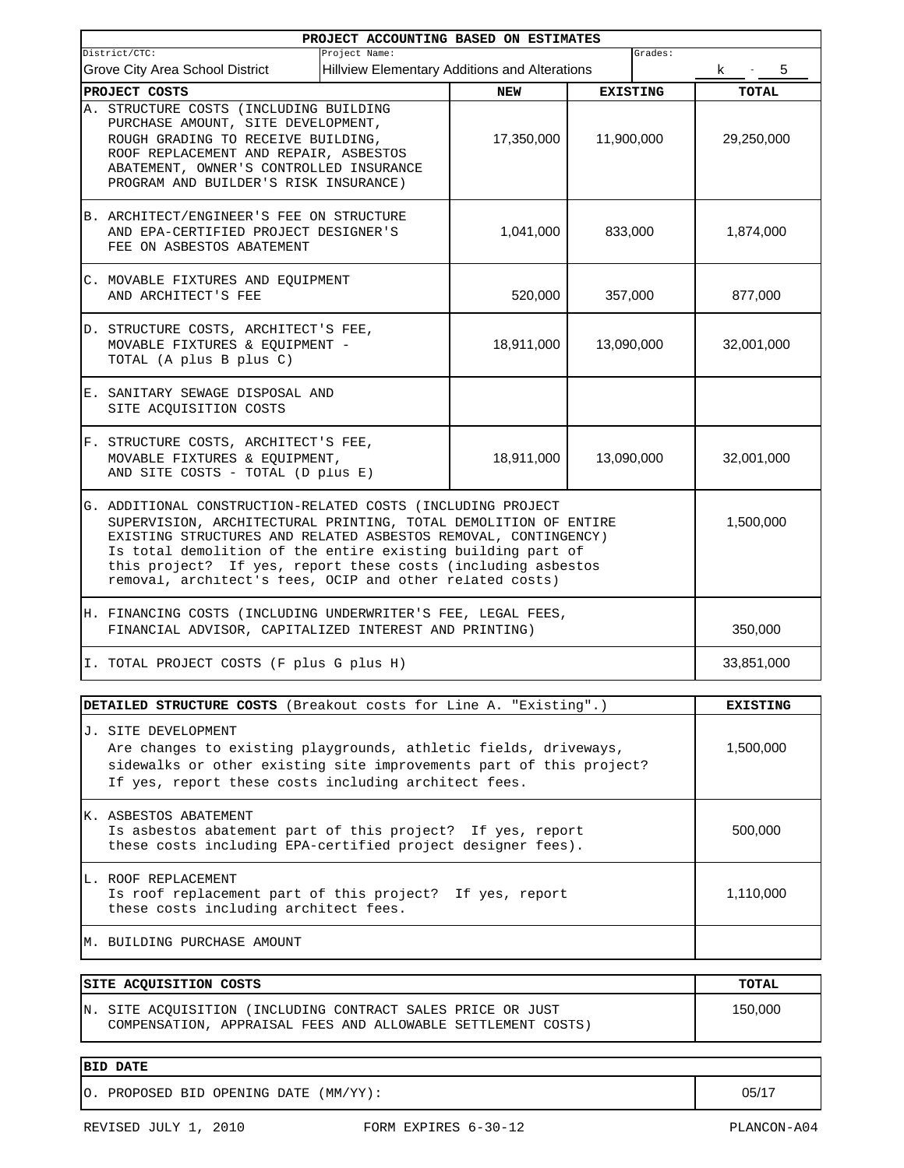|                                                                                                                                                                                                                                                                                                                                                                                             | PROJECT ACCOUNTING BASED ON ESTIMATES         |         |                 |                 |
|---------------------------------------------------------------------------------------------------------------------------------------------------------------------------------------------------------------------------------------------------------------------------------------------------------------------------------------------------------------------------------------------|-----------------------------------------------|---------|-----------------|-----------------|
| Project Name:<br>District/CTC:                                                                                                                                                                                                                                                                                                                                                              |                                               |         | Grades:         |                 |
| Grove City Area School District                                                                                                                                                                                                                                                                                                                                                             | Hillview Elementary Additions and Alterations |         |                 | k.<br>5         |
| PROJECT COSTS                                                                                                                                                                                                                                                                                                                                                                               | <b>NEW</b>                                    |         | <b>EXISTING</b> | <b>TOTAL</b>    |
| A. STRUCTURE COSTS (INCLUDING BUILDING<br>PURCHASE AMOUNT, SITE DEVELOPMENT,<br>ROUGH GRADING TO RECEIVE BUILDING,<br>ROOF REPLACEMENT AND REPAIR, ASBESTOS<br>ABATEMENT, OWNER'S CONTROLLED INSURANCE<br>PROGRAM AND BUILDER'S RISK INSURANCE)                                                                                                                                             | 17,350,000                                    |         | 11,900,000      | 29,250,000      |
| B. ARCHITECT/ENGINEER'S FEE ON STRUCTURE<br>AND EPA-CERTIFIED PROJECT DESIGNER'S<br>FEE ON ASBESTOS ABATEMENT                                                                                                                                                                                                                                                                               | 1,041,000                                     |         | 833,000         | 1,874,000       |
| C. MOVABLE FIXTURES AND EQUIPMENT<br>AND ARCHITECT'S FEE                                                                                                                                                                                                                                                                                                                                    | 520,000                                       | 357,000 |                 | 877,000         |
| D. STRUCTURE COSTS, ARCHITECT'S FEE,<br>MOVABLE FIXTURES & EQUIPMENT -<br>TOTAL (A plus B plus C)                                                                                                                                                                                                                                                                                           | 18,911,000                                    |         | 13,090,000      | 32,001,000      |
| E. SANITARY SEWAGE DISPOSAL AND<br>SITE ACQUISITION COSTS                                                                                                                                                                                                                                                                                                                                   |                                               |         |                 |                 |
| F. STRUCTURE COSTS, ARCHITECT'S FEE,<br>MOVABLE FIXTURES & EQUIPMENT,<br>AND SITE COSTS - TOTAL (D plus E)                                                                                                                                                                                                                                                                                  | 18,911,000                                    |         | 13,090,000      | 32,001,000      |
| G. ADDITIONAL CONSTRUCTION-RELATED COSTS (INCLUDING PROJECT<br>SUPERVISION, ARCHITECTURAL PRINTING, TOTAL DEMOLITION OF ENTIRE<br>EXISTING STRUCTURES AND RELATED ASBESTOS REMOVAL, CONTINGENCY)<br>Is total demolition of the entire existing building part of<br>this project? If yes, report these costs (including asbestos<br>removal, architect's fees, OCIP and other related costs) |                                               |         |                 | 1,500,000       |
| H. FINANCING COSTS (INCLUDING UNDERWRITER'S FEE, LEGAL FEES,<br>FINANCIAL ADVISOR, CAPITALIZED INTEREST AND PRINTING)                                                                                                                                                                                                                                                                       |                                               |         |                 | 350,000         |
| I. TOTAL PROJECT COSTS (F plus G plus H)                                                                                                                                                                                                                                                                                                                                                    |                                               |         |                 | 33,851,000      |
| DETAILED STRUCTURE COSTS (Breakout costs for Line A. "Existing".)                                                                                                                                                                                                                                                                                                                           |                                               |         |                 | <b>EXISTING</b> |
| J. SITE DEVELOPMENT<br>Are changes to existing playgrounds, athletic fields, driveways,<br>sidewalks or other existing site improvements part of this project?<br>If yes, report these costs including architect fees.                                                                                                                                                                      |                                               |         |                 | 1,500,000       |
| K. ASBESTOS ABATEMENT<br>Is asbestos abatement part of this project? If yes, report<br>these costs including EPA-certified project designer fees).                                                                                                                                                                                                                                          |                                               |         |                 | 500,000         |
| L. ROOF REPLACEMENT<br>Is roof replacement part of this project?<br>these costs including architect fees.                                                                                                                                                                                                                                                                                   | If yes, report                                |         |                 | 1,110,000       |

M. BUILDING PURCHASE AMOUNT

| SITE ACQUISITION COSTS                                                                                                      | TOTAL   |
|-----------------------------------------------------------------------------------------------------------------------------|---------|
| N. SITE ACOUISITION (INCLUDING CONTRACT SALES PRICE OR JUST<br>COMPENSATION, APPRAISAL FEES AND ALLOWABLE SETTLEMENT COSTS) | 150,000 |

- **BID DATE**
- O. PROPOSED BID OPENING DATE (MM/YY): 05/17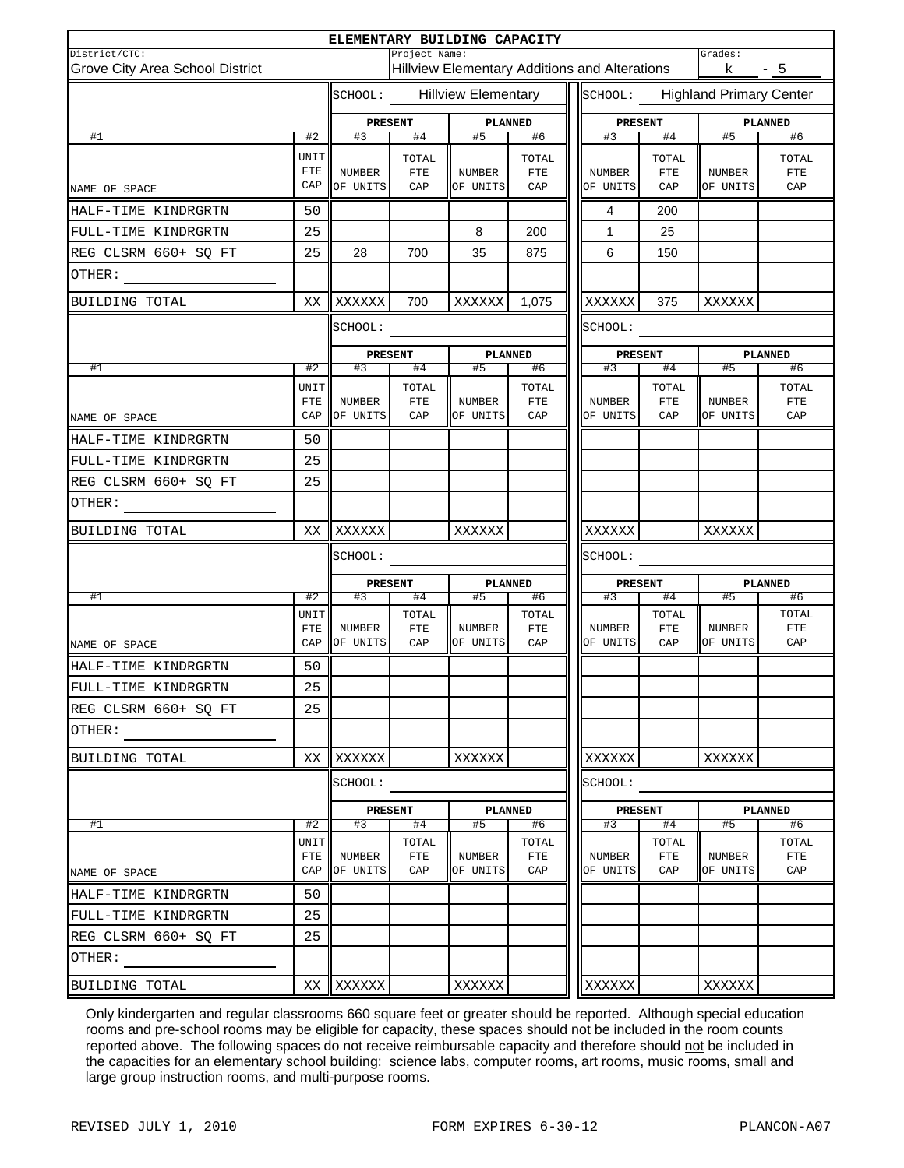|                                                  |                     |                           |                              | ELEMENTARY BUILDING CAPACITY                         |                      |  |                           |                             |                                         |                             |
|--------------------------------------------------|---------------------|---------------------------|------------------------------|------------------------------------------------------|----------------------|--|---------------------------|-----------------------------|-----------------------------------------|-----------------------------|
| District/CTC:<br>Grove City Area School District |                     |                           | Project Name:                | <b>Hillview Elementary Additions and Alterations</b> |                      |  |                           |                             | Grades:<br><u>k - 5</u><br>$\mathbf{I}$ |                             |
|                                                  |                     | SCHOOL:                   |                              | <b>Hillview Elementary</b>                           |                      |  |                           |                             | SCHOOL: Highland Primary Center         |                             |
|                                                  |                     | PRESENT                   |                              | PLANNED                                              |                      |  | PRESENT                   |                             |                                         | PLANNED                     |
| #1                                               | #2                  | #3                        | #4                           | #5                                                   | #6                   |  | #3                        | #4                          | #5                                      | #6                          |
| NAME OF SPACE                                    | UNIT<br>FTE<br>CAP  | <b>NUMBER</b><br>OF UNITS | TOTAL<br>$_{\rm FTE}$<br>CAP | <b>NUMBER</b><br>OF UNITS                            | TOTAL<br>FTE<br>CAP  |  | <b>NUMBER</b><br>OF UNITS | TOTAL<br>${\tt FTE}$<br>CAP | NUMBER<br>OF UNITS                      | TOTAL<br>${\tt FTE}$<br>CAP |
| HALF-TIME KINDRGRTN                              | 50                  |                           |                              |                                                      |                      |  | 4                         | 200                         |                                         |                             |
| FULL-TIME KINDRGRTN                              | 25                  |                           |                              | 8                                                    | 200                  |  | 1                         | 25                          |                                         |                             |
| REG CLSRM 660+ SQ FT                             | 25                  | 28                        | 700                          | 35                                                   | 875                  |  | 6                         | 150                         |                                         |                             |
| OTHER:                                           |                     |                           |                              |                                                      |                      |  |                           |                             |                                         |                             |
| BUILDING TOTAL                                   | XX                  | XXXXXX                    | 700                          | XXXXXX 1,075                                         |                      |  | XXXXXX                    | 375                         | XXXXXX                                  |                             |
|                                                  |                     | SCHOOL:                   |                              |                                                      |                      |  |                           |                             |                                         |                             |
|                                                  |                     | PRESENT                   |                              | PLANNED                                              |                      |  | <b>PRESENT</b>            |                             |                                         | PLANNED                     |
| #1                                               | #2                  | #3                        | #4                           | #5                                                   | #6                   |  | #3                        | #4                          | #5                                      | #6                          |
|                                                  | UNIT<br>FTE         | <b>NUMBER</b>             | TOTAL<br>$_{\rm FTE}$        | <b>NUMBER</b>                                        | TOTAL<br>FTE         |  | NUMBER                    | TOTAL<br>FTE                | <b>NUMBER</b>                           | TOTAL<br>${\tt FTE}$        |
| NAME OF SPACE                                    | CAP                 | OF UNITS                  | CAP                          | OF UNITS                                             | CAP                  |  | OF UNITS                  | CAP                         | OF UNITS                                | CAP                         |
| HALF-TIME KINDRGRTN                              | 50                  |                           |                              |                                                      |                      |  |                           |                             |                                         |                             |
| FULL-TIME KINDRGRTN                              | 25                  |                           |                              |                                                      |                      |  |                           |                             |                                         |                             |
| REG CLSRM 660+ SQ FT                             | 25                  |                           |                              |                                                      |                      |  |                           |                             |                                         |                             |
| OTHER:                                           |                     |                           |                              |                                                      |                      |  |                           |                             |                                         |                             |
| BUILDING TOTAL                                   |                     | XX XXXXXX                 |                              | XXXXXX                                               |                      |  | XXXXXX                    |                             | XXXXXX                                  |                             |
|                                                  |                     | SCHOOL:                   |                              |                                                      |                      |  | SCHOOL:                   |                             |                                         |                             |
|                                                  |                     | <b>PRESENT</b>            |                              |                                                      | PLANNED              |  |                           | <b>PRESENT</b>              |                                         | PLANNED                     |
| #1                                               | #2                  | #3                        | #4                           | #5                                                   | #6                   |  | #3                        | #4                          | #5                                      | #6                          |
|                                                  | UNIT<br>FTE         | NUMBER                    | TOTAL<br>${\tt FTE}$         | NUMBER                                               | TOTAL<br>FTE         |  | <b>NUMBER</b>             | TOTAL<br>FTE                | NUMBER                                  | TOTAL<br>${\tt FTE}$        |
| NAME OF SPACE                                    | CAP                 | OF UNITS                  | CAP                          | OF UNITS                                             | CAP                  |  | OF UNITS                  | CAP                         | OF UNITS                                | CAP                         |
| HALF-TIME KINDRGRTN                              | 50                  |                           |                              |                                                      |                      |  |                           |                             |                                         |                             |
| FULL-TIME KINDRGRTN                              | 25                  |                           |                              |                                                      |                      |  |                           |                             |                                         |                             |
| REG CLSRM 660+ SO FT                             | 25                  |                           |                              |                                                      |                      |  |                           |                             |                                         |                             |
| OTHER:                                           |                     |                           |                              |                                                      |                      |  |                           |                             |                                         |                             |
| BUILDING TOTAL                                   | XX                  | XXXXXX                    |                              | XXXXXX                                               |                      |  | XXXXXX                    |                             | XXXXXX                                  |                             |
|                                                  |                     | SCHOOL:                   |                              |                                                      |                      |  | SCHOOL:                   |                             |                                         |                             |
|                                                  |                     | <b>PRESENT</b>            |                              |                                                      | <b>PLANNED</b>       |  | <b>PRESENT</b>            |                             |                                         | PLANNED                     |
| #1                                               | #2                  | #3                        | #4                           | #5                                                   | #6                   |  | #3                        | #4                          | #5                                      | #6                          |
|                                                  | UNIT<br>${\tt FTE}$ | NUMBER                    | TOTAL<br>${\tt FTE}$         | NUMBER                                               | TOTAL<br>${\rm FTE}$ |  | NUMBER                    | TOTAL<br>${\tt FTE}$        | NUMBER                                  | TOTAL<br>FTE                |
| NAME OF SPACE                                    | CAP                 | OF UNITS                  | CAP                          | OF UNITS                                             | CAP                  |  | OF UNITS                  | CAP                         | OF UNITS                                | CAP                         |
| HALF-TIME KINDRGRTN                              | 50                  |                           |                              |                                                      |                      |  |                           |                             |                                         |                             |
| FULL-TIME KINDRGRTN                              | 25                  |                           |                              |                                                      |                      |  |                           |                             |                                         |                             |
| REG CLSRM 660+ SQ FT                             | 25                  |                           |                              |                                                      |                      |  |                           |                             |                                         |                             |
| OTHER:                                           |                     |                           |                              |                                                      |                      |  |                           |                             |                                         |                             |
| BUILDING TOTAL                                   |                     | XX XXXXXX                 |                              | XXXXXX                                               |                      |  | XXXXXX                    |                             | XXXXXX                                  |                             |

Only kindergarten and regular classrooms 660 square feet or greater should be reported. Although special education rooms and pre-school rooms may be eligible for capacity, these spaces should not be included in the room counts reported above. The following spaces do not receive reimbursable capacity and therefore should not be included in the capacities for an elementary school building: science labs, computer rooms, art rooms, music rooms, small and large group instruction rooms, and multi-purpose rooms.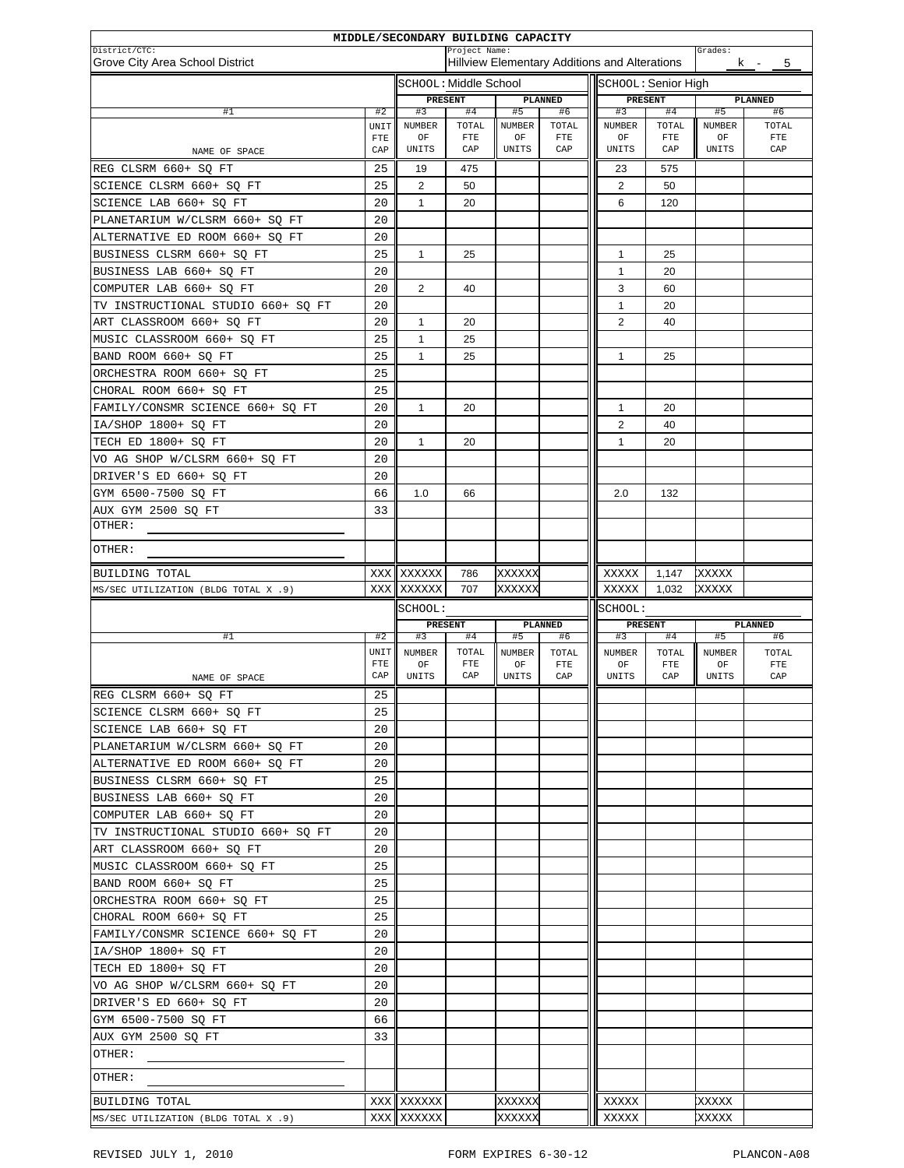|                                                  |                   | MIDDLE/SECONDARY BUILDING CAPACITY |                       |                     |                      |                                               |                    |                     |                      |
|--------------------------------------------------|-------------------|------------------------------------|-----------------------|---------------------|----------------------|-----------------------------------------------|--------------------|---------------------|----------------------|
| District/CTC:<br>Grove City Area School District |                   |                                    | Project Name:         |                     |                      | Hillview Elementary Additions and Alterations |                    | Grades:             | 5<br>k -             |
|                                                  |                   |                                    | sсноот: Middle School |                     |                      | SCHOOL: Senior High                           |                    |                     |                      |
|                                                  |                   | PRESENT                            |                       |                     | PLANNED              | PRESENT                                       |                    |                     | PLANNED              |
| #1                                               | #2                | #3                                 | #4                    | #5                  | #6                   | #3                                            | #4                 | #5                  | #6                   |
|                                                  | UNIT              | NUMBER                             | TOTAL                 | <b>NUMBER</b>       | TOTAL                | <b>NUMBER</b>                                 | TOTAL              | <b>NUMBER</b>       | TOTAL                |
| NAME OF SPACE                                    | <b>FTE</b><br>CAP | OF<br>UNITS                        | ${\rm FTE}$<br>CAP    | OF<br>UNITS         | ${\rm FTE}$<br>CAP   | OF<br>UNITS                                   | ${\rm FTE}$<br>CAP | ΟF<br>UNITS         | ${\rm FTE}$<br>CAP   |
| REG CLSRM 660+ SQ FT                             | 25                | 19                                 | 475                   |                     |                      | 23                                            | 575                |                     |                      |
| SCIENCE CLSRM 660+ SO FT                         | 25                | $\overline{2}$                     | 50                    |                     |                      | 2                                             | 50                 |                     |                      |
| SCIENCE LAB 660+ SQ FT                           | 20                | 1                                  | 20                    |                     |                      | 6                                             | 120                |                     |                      |
| PLANETARIUM W/CLSRM 660+ SQ FT                   | 20                |                                    |                       |                     |                      |                                               |                    |                     |                      |
| ALTERNATIVE ED ROOM 660+ SQ FT                   | 20                |                                    |                       |                     |                      |                                               |                    |                     |                      |
| BUSINESS CLSRM 660+ SQ FT                        | 25                | $\mathbf{1}$                       | 25                    |                     |                      | 1                                             | 25                 |                     |                      |
| BUSINESS LAB 660+ SQ FT                          | 20                |                                    |                       |                     |                      | $\mathbf{1}$                                  | 20                 |                     |                      |
| COMPUTER LAB 660+ SQ FT                          | 20                | 2                                  | 40                    |                     |                      | 3                                             | 60                 |                     |                      |
| TV INSTRUCTIONAL STUDIO 660+ SQ FT               | 20                |                                    |                       |                     |                      | 1                                             | 20                 |                     |                      |
| ART CLASSROOM 660+ SQ FT                         | 20                | $\mathbf{1}$                       | 20                    |                     |                      | $\overline{2}$                                | 40                 |                     |                      |
| MUSIC CLASSROOM 660+ SQ FT                       | 25                | $\mathbf{1}$                       | 25                    |                     |                      |                                               |                    |                     |                      |
| BAND ROOM 660+ SQ FT                             | 25                | 1                                  | 25                    |                     |                      | $\mathbf{1}$                                  | 25                 |                     |                      |
| ORCHESTRA ROOM 660+ SO FT                        | 25                |                                    |                       |                     |                      |                                               |                    |                     |                      |
| CHORAL ROOM 660+ SQ FT                           | 25                |                                    |                       |                     |                      |                                               |                    |                     |                      |
| FAMILY/CONSMR SCIENCE 660+ SQ FT                 | 20                | 1                                  | 20                    |                     |                      | 1                                             | 20                 |                     |                      |
| IA/SHOP 1800+ SO FT                              | 20                |                                    |                       |                     |                      | 2                                             | 40                 |                     |                      |
| TECH ED 1800+ SO FT                              | 20                | 1                                  | 20                    |                     |                      | $\mathbf{1}$                                  | 20                 |                     |                      |
| VO AG SHOP W/CLSRM 660+ SQ FT                    | 20                |                                    |                       |                     |                      |                                               |                    |                     |                      |
| DRIVER'S ED 660+ SQ FT                           | 20                |                                    |                       |                     |                      |                                               |                    |                     |                      |
| GYM 6500-7500 SQ FT                              | 66                | 1.0                                | 66                    |                     |                      | 2.0                                           | 132                |                     |                      |
| AUX GYM 2500 SQ FT                               | 33                |                                    |                       |                     |                      |                                               |                    |                     |                      |
| OTHER:                                           |                   |                                    |                       |                     |                      |                                               |                    |                     |                      |
| OTHER:                                           |                   |                                    |                       |                     |                      |                                               |                    |                     |                      |
| BUILDING TOTAL                                   |                   | XXX XXXXXX                         | 786                   | XXXXXX              |                      | XXXXX                                         | 1,147              | XXXXX               |                      |
| MS/SEC UTILIZATION (BLDG TOTAL X .9)             | XXX               | XXXXXX                             | 707                   | XXXXXX              |                      | XXXXX                                         | 1,032              | XXXXX               |                      |
|                                                  |                   | SCHOOL:                            |                       |                     |                      | SCHOOL:                                       |                    |                     |                      |
|                                                  |                   |                                    | <b>PRESENT</b>        |                     | PLANNED              |                                               | PRESENT            |                     | PLANNED              |
| #1                                               | #2                | #3                                 | #4                    | #5                  | #6                   | #3                                            | #4                 | #5                  | #6                   |
|                                                  | UNIT<br>FTE       | <b>NUMBER</b><br>OF                | TOTAL<br>${\tt FTE}$  | <b>NUMBER</b><br>OF | TOTAL<br>${\rm FTE}$ | <b>NUMBER</b><br>OF                           | TOTAL<br>FTE       | <b>NUMBER</b><br>OF | TOTAL<br>${\tt FTE}$ |
| NAME OF SPACE                                    | CAP               | UNITS                              | CAP                   | UNITS               | CAP                  | UNITS                                         | CAP                | UNITS               | CAP                  |
| REG CLSRM 660+ SQ FT                             | 25                |                                    |                       |                     |                      |                                               |                    |                     |                      |
| SCIENCE CLSRM 660+ SQ FT                         |                   |                                    |                       |                     |                      |                                               |                    |                     |                      |
|                                                  | 25                |                                    |                       |                     |                      |                                               |                    |                     |                      |
| SCIENCE LAB 660+ SQ FT                           | 20                |                                    |                       |                     |                      |                                               |                    |                     |                      |
| PLANETARIUM W/CLSRM 660+ SQ FT                   | 20                |                                    |                       |                     |                      |                                               |                    |                     |                      |
| ALTERNATIVE ED ROOM 660+ SQ FT                   | 20                |                                    |                       |                     |                      |                                               |                    |                     |                      |
| BUSINESS CLSRM 660+ SQ FT                        | 25                |                                    |                       |                     |                      |                                               |                    |                     |                      |
| BUSINESS LAB 660+ SQ FT                          | 20                |                                    |                       |                     |                      |                                               |                    |                     |                      |
| COMPUTER LAB 660+ SQ FT                          | 20                |                                    |                       |                     |                      |                                               |                    |                     |                      |
| TV INSTRUCTIONAL STUDIO 660+ SQ FT               | 20                |                                    |                       |                     |                      |                                               |                    |                     |                      |
| ART CLASSROOM 660+ SQ FT                         | 20                |                                    |                       |                     |                      |                                               |                    |                     |                      |
| MUSIC CLASSROOM 660+ SQ FT                       | 25                |                                    |                       |                     |                      |                                               |                    |                     |                      |
| BAND ROOM 660+ SQ FT                             | 25                |                                    |                       |                     |                      |                                               |                    |                     |                      |
| ORCHESTRA ROOM 660+ SQ FT                        | 25                |                                    |                       |                     |                      |                                               |                    |                     |                      |
| CHORAL ROOM 660+ SQ FT                           | 25                |                                    |                       |                     |                      |                                               |                    |                     |                      |
| FAMILY/CONSMR SCIENCE 660+ SQ FT                 | 20                |                                    |                       |                     |                      |                                               |                    |                     |                      |
| IA/SHOP 1800+ SQ FT                              | 20                |                                    |                       |                     |                      |                                               |                    |                     |                      |
| TECH ED 1800+ SQ FT                              | 20                |                                    |                       |                     |                      |                                               |                    |                     |                      |
| VO AG SHOP W/CLSRM 660+ SQ FT                    | 20                |                                    |                       |                     |                      |                                               |                    |                     |                      |
| DRIVER'S ED 660+ SQ FT                           | 20                |                                    |                       |                     |                      |                                               |                    |                     |                      |
| GYM 6500-7500 SQ FT                              | 66                |                                    |                       |                     |                      |                                               |                    |                     |                      |
| AUX GYM 2500 SQ FT                               | 33                |                                    |                       |                     |                      |                                               |                    |                     |                      |
| OTHER:                                           |                   |                                    |                       |                     |                      |                                               |                    |                     |                      |
| OTHER:                                           |                   |                                    |                       |                     |                      |                                               |                    |                     |                      |
| BUILDING TOTAL                                   |                   | XXX XXXXXX                         |                       | XXXXXX              |                      | XXXXX                                         |                    | XXXXX               |                      |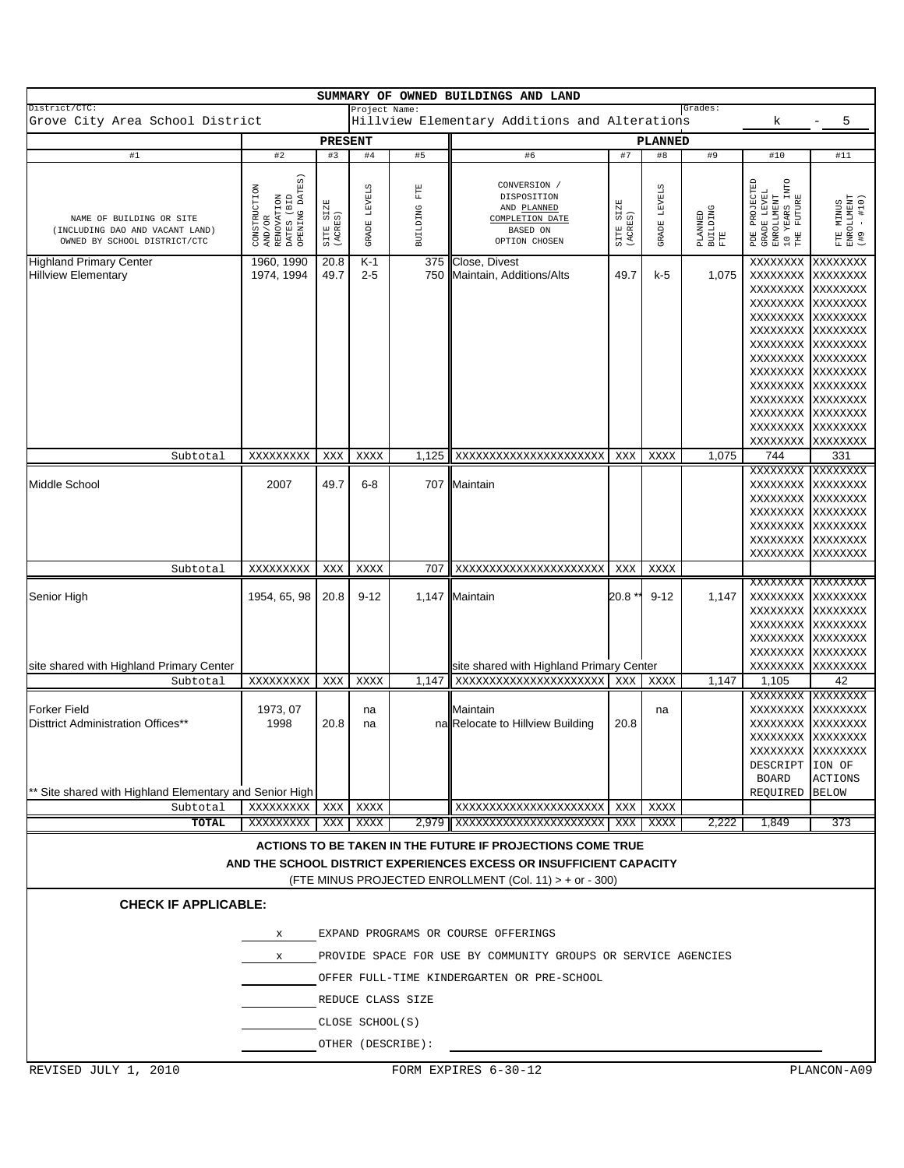|                                                                                             |                                                                                    |                      |                        |                          | SUMMARY OF OWNED BUILDINGS AND LAND                                                                                                                                                          |                      |                               |                            |                                                                                                                                        |                                                                                              |
|---------------------------------------------------------------------------------------------|------------------------------------------------------------------------------------|----------------------|------------------------|--------------------------|----------------------------------------------------------------------------------------------------------------------------------------------------------------------------------------------|----------------------|-------------------------------|----------------------------|----------------------------------------------------------------------------------------------------------------------------------------|----------------------------------------------------------------------------------------------|
| District/CTC:<br>Grove City Area School District                                            |                                                                                    |                      | Project Name:          |                          | Hillview Elementary Additions and Alterations                                                                                                                                                |                      |                               | Grades:                    | k                                                                                                                                      | 5                                                                                            |
|                                                                                             |                                                                                    | <b>PRESENT</b>       |                        |                          |                                                                                                                                                                                              |                      | <b>PLANNED</b>                |                            |                                                                                                                                        |                                                                                              |
| #1                                                                                          | #2                                                                                 | #3                   | #4                     | #5                       | #6                                                                                                                                                                                           | #7                   | #8                            | #9                         | #10                                                                                                                                    | #11                                                                                          |
| NAME OF BUILDING OR SITE<br>(INCLUDING DAO AND VACANT LAND)<br>OWNED BY SCHOOL DISTRICT/CTC | AND/OR<br>RENOVATION<br>DATES (BID<br>DATES (BID<br>OPENING DATES)<br>CONSTRUCTION | SITE SIZE<br>(ACRES) | <b>LEVELS</b><br>GRADE | $_{\rm FTE}$<br>BUILDING | CONVERSION /<br>DISPOSITION<br>AND PLANNED<br>COMPLETION DATE<br>BASED ON<br>OPTION CHOSEN                                                                                                   | SITE SIZE<br>(ACRES) | <b>LEVELS</b><br><b>GRADE</b> | PLANNED<br>BUILDING<br>FTE | PDE PROJECTED<br>GRADE LEVEL<br>ENROLLMENT<br>ENROLLMENT<br>10 YEARS LNTO<br>THE FUTURE                                                | FTE MINUS<br>ENROLLMENT<br>(#9 - #10)                                                        |
| <b>Highland Primary Center</b><br><b>Hillview Elementary</b>                                | 1960, 1990<br>1974, 1994                                                           | 20.8<br>49.7         | K-1<br>$2 - 5$         | 375<br>750               | Close, Divest<br>Maintain, Additions/Alts                                                                                                                                                    | 49.7                 | k-5                           | 1,075                      | XXXXXXXX<br>XXXXXXXX<br>XXXXXXXX<br>XXXXXXXX<br>XXXXXXXX<br>XXXXXXXX XXXXXXXX<br>XXXXXXXX<br>XXXXXXXX XXXXXXXX<br>XXXXXXXX<br>XXXXXXXX | XXXXXXXX<br>xxxxxxxx<br>XXXXXXXX<br>XXXXXXXX<br>XXXXXXXX<br>XXXXXXXX<br>XXXXXXXX<br>XXXXXXXX |
| Subtotal                                                                                    | XXXXXXXXX                                                                          | XXX                  | XXXX                   | 1,125                    | XXXXXXXXXXXXXXXXXXXXX                                                                                                                                                                        | XXX                  | XXXX                          | 1,075                      | XXXXXXXX<br>XXXXXXXX<br>XXXXXXXX<br>XXXXXXXX<br>744                                                                                    | xxxxxxxx<br>xxxxxxxx<br>XXXXXXXX<br>xxxxxxxx<br>331                                          |
|                                                                                             |                                                                                    |                      |                        |                          |                                                                                                                                                                                              |                      |                               |                            | XXXXXXXX                                                                                                                               | XXXXXXXX                                                                                     |
| <b>Middle School</b>                                                                        | 2007                                                                               | 49.7                 | $6 - 8$                | 707                      | Maintain                                                                                                                                                                                     |                      |                               |                            | XXXXXXXX<br>XXXXXXXX XXXXXXXX<br>XXXXXXXX<br>XXXXXXXX XXXXXXXX<br>XXXXXXXX<br>XXXXXXXX                                                 | xxxxxxxx<br>XXXXXXXX<br>xxxxxxxx<br>XXXXXXXX                                                 |
| Subtotal                                                                                    | XXXXXXXXX                                                                          | XXX                  | XXXX                   | 707                      | XXXXXXXXXXXXXXXXXXXXXX                                                                                                                                                                       | XXX                  | XXXX                          |                            |                                                                                                                                        |                                                                                              |
| Senior High<br>site shared with Highland Primary Center                                     | 1954, 65, 98                                                                       | 20.8                 | $9 - 12$               |                          | 1,147 Maintain                                                                                                                                                                               | 20.8 *               | $9 - 12$                      | 1,147                      | XXXXXXXX XXXXXXXX<br>XXXXXXXX<br>XXXXXXXX<br>XXXXXXXX<br>XXXXXXXX<br>XXXXXXXX                                                          | XXXXXXXX<br>XXXXXXXX<br>XXXXXXXX<br>XXXXXXXX<br>XXXXXXXX                                     |
| Subtotal                                                                                    | XXXXXXXXX                                                                          | XXX                  | XXXX                   | 1,147                    | site shared with Highland Primary Center<br>XXXXXXXXXXXXXXXXXXXXX                                                                                                                            | XXX                  | XXXX                          | 1,147                      | XXXXXXXX<br>1,105                                                                                                                      | XXXXXXXX<br>42                                                                               |
| <b>Forker Field</b><br>Disttrict Administration Offices**                                   | 1973, 07<br>1998                                                                   | 20.8                 | na<br>na               |                          | Maintain<br>na Relocate to Hillview Building                                                                                                                                                 | 20.8                 | na                            |                            | XXXXXXXX<br>XXXXXXXX<br>XXXXXXXX<br>XXXXXXXX XXXXXXXX<br>XXXXXXXX XXXXXXXX<br>DESCRIPT ION OF<br><b>BOARD</b>                          | XXXXXXXX<br>xxxxxxxx<br>xxxxxxxx<br><b>ACTIONS</b>                                           |
| Site shared with Highland Elementary and Senior High<br>Subtotal                            | XXXXXXXXX                                                                          | XXX                  | XXXX                   |                          | XXXXXXXXXXXXXXXXXXXXXX                                                                                                                                                                       | XXX                  | XXXX                          |                            | REQUIRED BELOW                                                                                                                         |                                                                                              |
| TOTAL                                                                                       | XXXXXXXXX                                                                          | XXX                  | XXXX                   |                          | 2,979   XXXXXXXXXXXXXXXXXXXXX                                                                                                                                                                | XXX                  | XXXX                          | 2,222                      | 1,849                                                                                                                                  | 373                                                                                          |
| <b>CHECK IF APPLICABLE:</b>                                                                 |                                                                                    |                      |                        |                          | ACTIONS TO BE TAKEN IN THE FUTURE IF PROJECTIONS COME TRUE<br>AND THE SCHOOL DISTRICT EXPERIENCES EXCESS OR INSUFFICIENT CAPACITY<br>(FTE MINUS PROJECTED ENROLLMENT (Col. 11) > + or - 300) |                      |                               |                            |                                                                                                                                        |                                                                                              |
|                                                                                             | X<br>X                                                                             |                      |                        |                          | EXPAND PROGRAMS OR COURSE OFFERINGS<br>PROVIDE SPACE FOR USE BY COMMUNITY GROUPS OR SERVICE AGENCIES                                                                                         |                      |                               |                            |                                                                                                                                        |                                                                                              |
|                                                                                             |                                                                                    |                      |                        |                          | OFFER FULL-TIME KINDERGARTEN OR PRE-SCHOOL                                                                                                                                                   |                      |                               |                            |                                                                                                                                        |                                                                                              |
|                                                                                             |                                                                                    |                      |                        | REDUCE CLASS SIZE        |                                                                                                                                                                                              |                      |                               |                            |                                                                                                                                        |                                                                                              |
|                                                                                             |                                                                                    |                      | CLOSE SCHOOL(S)        |                          |                                                                                                                                                                                              |                      |                               |                            |                                                                                                                                        |                                                                                              |
|                                                                                             |                                                                                    |                      |                        | OTHER (DESCRIBE):        |                                                                                                                                                                                              |                      |                               |                            |                                                                                                                                        |                                                                                              |
| REVISED JULY 1, 2010                                                                        |                                                                                    |                      |                        |                          | FORM EXPIRES 6-30-12                                                                                                                                                                         |                      |                               |                            |                                                                                                                                        | PLANCON-A09                                                                                  |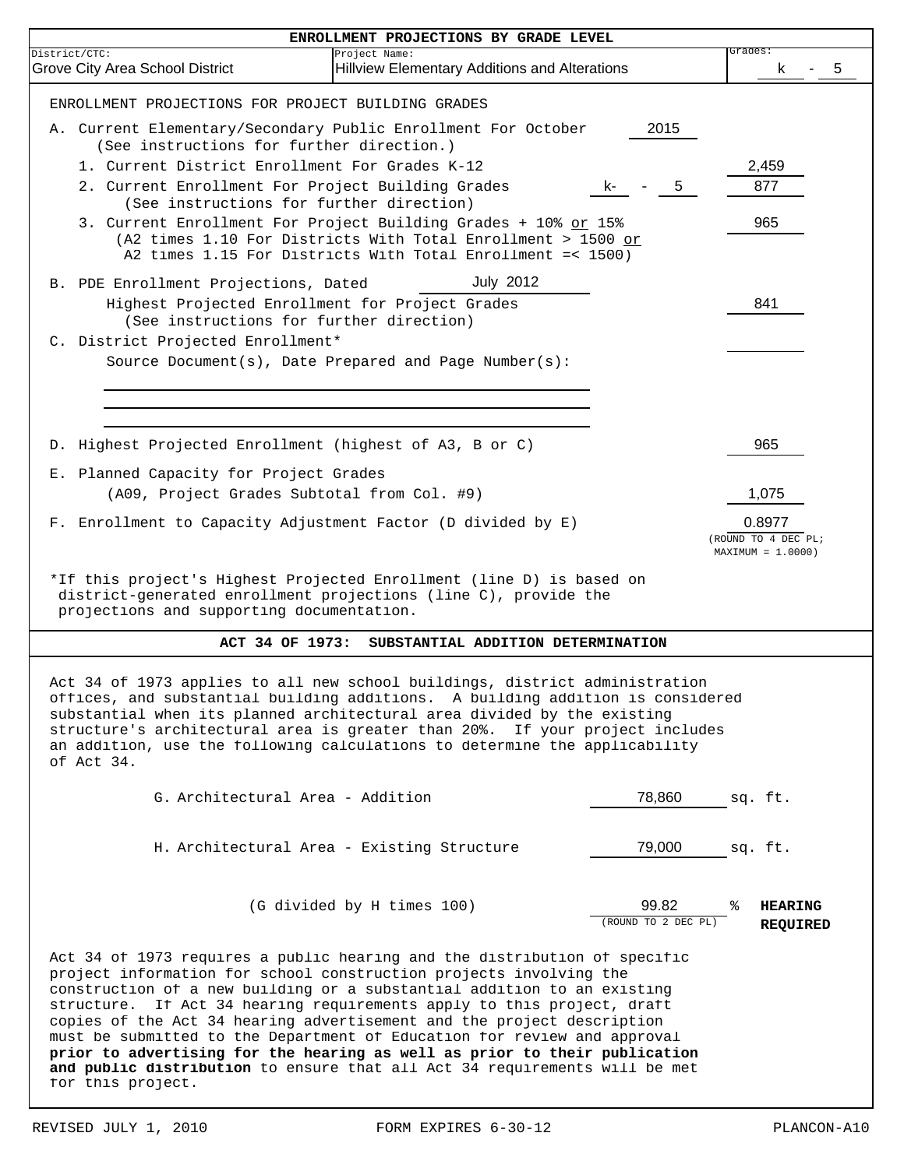|               | ENROLLMENT PROJECTIONS BY GRADE LEVEL                                                                                                                                                                                                                                                                                                                                                                                                                                                                                                                                                                                                       |                              |                                                      |
|---------------|---------------------------------------------------------------------------------------------------------------------------------------------------------------------------------------------------------------------------------------------------------------------------------------------------------------------------------------------------------------------------------------------------------------------------------------------------------------------------------------------------------------------------------------------------------------------------------------------------------------------------------------------|------------------------------|------------------------------------------------------|
| District/CTC: | Project Name:<br>Grove City Area School District<br><b>Hillview Elementary Additions and Alterations</b>                                                                                                                                                                                                                                                                                                                                                                                                                                                                                                                                    |                              | Grades:<br>5<br>κ                                    |
|               | ENROLLMENT PROJECTIONS FOR PROJECT BUILDING GRADES                                                                                                                                                                                                                                                                                                                                                                                                                                                                                                                                                                                          |                              |                                                      |
|               | A. Current Elementary/Secondary Public Enrollment For October<br>(See instructions for further direction.)                                                                                                                                                                                                                                                                                                                                                                                                                                                                                                                                  | 2015                         |                                                      |
|               | 1. Current District Enrollment For Grades K-12                                                                                                                                                                                                                                                                                                                                                                                                                                                                                                                                                                                              |                              | 2,459                                                |
|               | 2. Current Enrollment For Project Building Grades<br>K-                                                                                                                                                                                                                                                                                                                                                                                                                                                                                                                                                                                     | 5                            | 877                                                  |
|               | (See instructions for further direction)<br>3. Current Enrollment For Project Building Grades + 10% or 15%<br>(A2 times 1.10 For Districts With Total Enrollment > 1500 or<br>A2 times 1.15 For Districts With Total Enrollment =< 1500)                                                                                                                                                                                                                                                                                                                                                                                                    |                              | 965                                                  |
|               | <b>July 2012</b><br>B. PDE Enrollment Projections, Dated                                                                                                                                                                                                                                                                                                                                                                                                                                                                                                                                                                                    |                              |                                                      |
|               | Highest Projected Enrollment for Project Grades<br>(See instructions for further direction)                                                                                                                                                                                                                                                                                                                                                                                                                                                                                                                                                 |                              | 841                                                  |
|               | C. District Projected Enrollment*                                                                                                                                                                                                                                                                                                                                                                                                                                                                                                                                                                                                           |                              |                                                      |
|               | Source Document( $s$ ), Date Prepared and Page Number( $s$ ):                                                                                                                                                                                                                                                                                                                                                                                                                                                                                                                                                                               |                              |                                                      |
|               |                                                                                                                                                                                                                                                                                                                                                                                                                                                                                                                                                                                                                                             |                              |                                                      |
|               | D. Highest Projected Enrollment (highest of A3, B or C)                                                                                                                                                                                                                                                                                                                                                                                                                                                                                                                                                                                     |                              | 965                                                  |
|               | E. Planned Capacity for Project Grades                                                                                                                                                                                                                                                                                                                                                                                                                                                                                                                                                                                                      |                              |                                                      |
|               | (A09, Project Grades Subtotal from Col. #9)                                                                                                                                                                                                                                                                                                                                                                                                                                                                                                                                                                                                 |                              | 1,075                                                |
|               | F. Enrollment to Capacity Adjustment Factor (D divided by E)                                                                                                                                                                                                                                                                                                                                                                                                                                                                                                                                                                                |                              | 0.8977<br>(ROUND TO 4 DEC PL;<br>$MAXIMUM = 1.0000)$ |
|               | *If this project's Highest Projected Enrollment (line D) is based on<br>district-generated enrollment projections (line C), provide the<br>projections and supporting documentation.                                                                                                                                                                                                                                                                                                                                                                                                                                                        |                              |                                                      |
|               | ACT 34 OF 1973:<br>SUBSTANTIAL ADDITION DETERMINATION                                                                                                                                                                                                                                                                                                                                                                                                                                                                                                                                                                                       |                              |                                                      |
|               | Act 34 of 1973 applies to all new school buildings, district administration<br>offices, and substantial building additions. A building addition is considered<br>substantial when its planned architectural area divided by the existing<br>structure's architectural area is greater than 20%. If your project includes<br>an addition, use the following calculations to determine the applicability<br>of Act 34.                                                                                                                                                                                                                        |                              |                                                      |
|               | G. Architectural Area - Addition                                                                                                                                                                                                                                                                                                                                                                                                                                                                                                                                                                                                            | 78,860                       | sq. ft.                                              |
|               | H. Architectural Area - Existing Structure                                                                                                                                                                                                                                                                                                                                                                                                                                                                                                                                                                                                  | 79,000                       | sq. ft.                                              |
|               | (G divided by H times 100)                                                                                                                                                                                                                                                                                                                                                                                                                                                                                                                                                                                                                  | 99.82<br>(ROUND TO 2 DEC PL) | ႜ<br><b>HEARING</b><br><b>REQUIRED</b>               |
|               | Act 34 of 1973 requires a public hearing and the distribution of specific<br>project information for school construction projects involving the<br>construction of a new building or a substantial addition to an existing<br>structure. If Act 34 hearing requirements apply to this project, draft<br>copies of the Act 34 hearing advertisement and the project description<br>must be submitted to the Department of Education for review and approval<br>prior to advertising for the hearing as well as prior to their publication<br>and public distribution to ensure that all Act 34 requirements will be met<br>for this project. |                              |                                                      |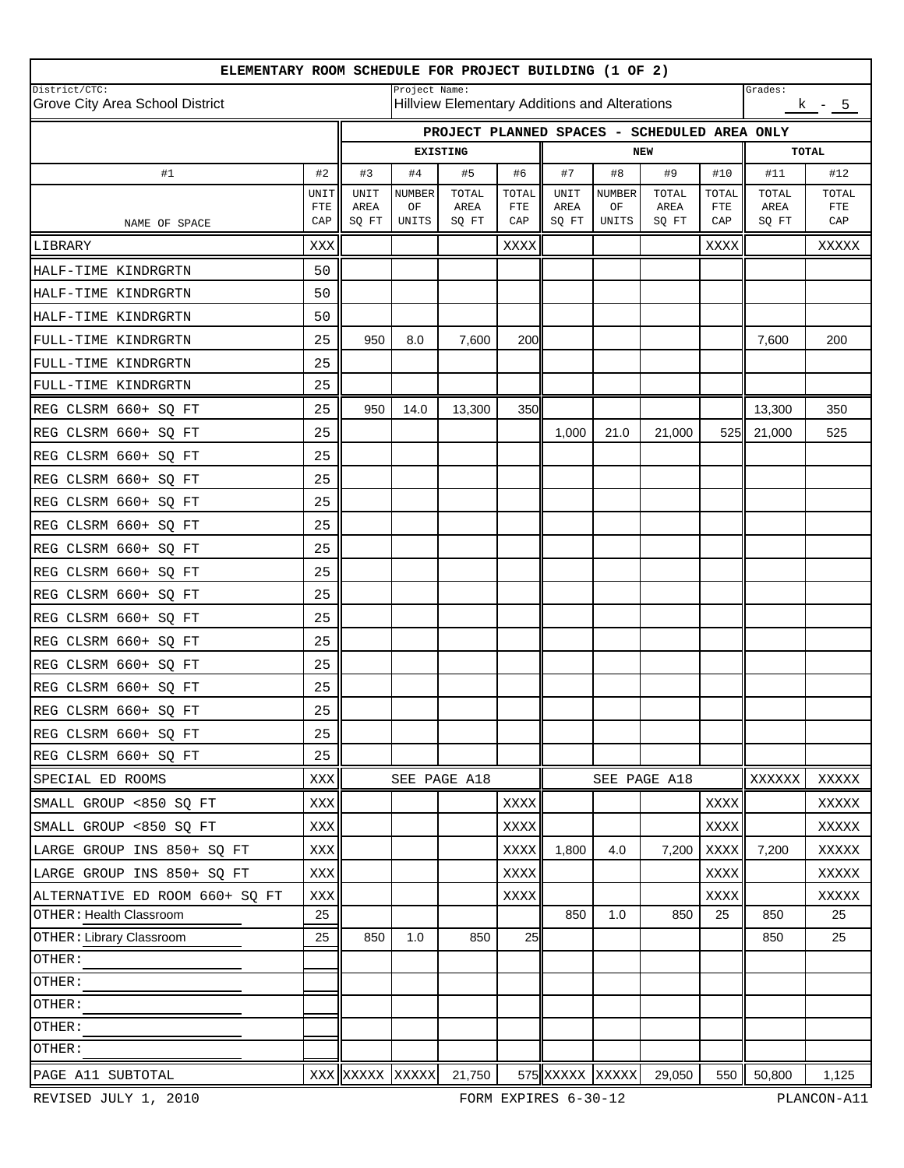| ELEMENTARY ROOM SCHEDULE FOR PROJECT BUILDING (1 OF 2) |                      |                 |                                                                                                   |                 |                      |                     |                     |               |              |                                              |              |  |
|--------------------------------------------------------|----------------------|-----------------|---------------------------------------------------------------------------------------------------|-----------------|----------------------|---------------------|---------------------|---------------|--------------|----------------------------------------------|--------------|--|
| District/CTC:<br>Grove City Area School District       |                      |                 | Project Name:<br>Grades:<br><b>Hillview Elementary Additions and Alterations</b><br><u>k - 5 </u> |                 |                      |                     |                     |               |              |                                              |              |  |
|                                                        |                      |                 |                                                                                                   |                 |                      |                     |                     |               |              | PROJECT PLANNED SPACES - SCHEDULED AREA ONLY |              |  |
|                                                        |                      |                 |                                                                                                   | <b>EXISTING</b> |                      |                     |                     | <b>NEW</b>    |              |                                              | <b>TOTAL</b> |  |
| #1                                                     | #2                   | #3              | #4                                                                                                | #5              | #6                   | #7                  | #8                  | #9            | #10          | #11                                          | #12          |  |
|                                                        | UNIT<br>$_{\rm FTE}$ | UNIT<br>AREA    | <b>NUMBER</b><br>ОF                                                                               | TOTAL<br>AREA   | TOTAL<br>${\tt FTE}$ | <b>UNIT</b><br>AREA | <b>NUMBER</b><br>OF | TOTAL<br>AREA | TOTAL<br>FTE | TOTAL<br>AREA                                | TOTAL<br>FTE |  |
| NAME OF SPACE                                          | CAP                  | SQ FT           | UNITS                                                                                             | SQ FT           | CAP                  | SQ FT               | UNITS               | SQ FT         | CAP          | SQ FT                                        | CAP          |  |
| LIBRARY                                                | XXX                  |                 |                                                                                                   |                 | XXXX                 |                     |                     |               | XXXX         |                                              | XXXXX        |  |
| HALF-TIME KINDRGRTN                                    | 50                   |                 |                                                                                                   |                 |                      |                     |                     |               |              |                                              |              |  |
| HALF-TIME KINDRGRTN                                    | 50                   |                 |                                                                                                   |                 |                      |                     |                     |               |              |                                              |              |  |
| HALF-TIME KINDRGRTN                                    | 50                   |                 |                                                                                                   |                 |                      |                     |                     |               |              |                                              |              |  |
| FULL-TIME KINDRGRTN                                    | 25                   | 950             | 8.0                                                                                               | 7,600           | 200                  |                     |                     |               |              | 7,600                                        | 200          |  |
| FULL-TIME KINDRGRTN                                    | 25                   |                 |                                                                                                   |                 |                      |                     |                     |               |              |                                              |              |  |
| FULL-TIME KINDRGRTN                                    | 25                   |                 |                                                                                                   |                 |                      |                     |                     |               |              |                                              |              |  |
| REG CLSRM 660+ SQ FT                                   | 25                   | 950             | 14.0                                                                                              | 13,300          | 350                  |                     |                     |               |              | 13,300                                       | 350          |  |
| REG CLSRM 660+ SQ FT                                   | 25                   |                 |                                                                                                   |                 |                      | 1,000               | 21.0                | 21,000        | 525II        | 21,000                                       | 525          |  |
| REG CLSRM 660+ SQ FT                                   | 25                   |                 |                                                                                                   |                 |                      |                     |                     |               |              |                                              |              |  |
| REG CLSRM 660+ SQ FT                                   | 25                   |                 |                                                                                                   |                 |                      |                     |                     |               |              |                                              |              |  |
| REG CLSRM 660+ SQ FT                                   | 25                   |                 |                                                                                                   |                 |                      |                     |                     |               |              |                                              |              |  |
| REG CLSRM 660+ SQ FT                                   | 25                   |                 |                                                                                                   |                 |                      |                     |                     |               |              |                                              |              |  |
| REG CLSRM 660+ SQ FT                                   | 25                   |                 |                                                                                                   |                 |                      |                     |                     |               |              |                                              |              |  |
| REG CLSRM 660+ SQ FT                                   | 25                   |                 |                                                                                                   |                 |                      |                     |                     |               |              |                                              |              |  |
| REG CLSRM 660+ SQ FT                                   | 25                   |                 |                                                                                                   |                 |                      |                     |                     |               |              |                                              |              |  |
| REG CLSRM 660+ SQ FT                                   | 25                   |                 |                                                                                                   |                 |                      |                     |                     |               |              |                                              |              |  |
| REG CLSRM 660+ SQ FT                                   | 25                   |                 |                                                                                                   |                 |                      |                     |                     |               |              |                                              |              |  |
| REG CLSRM 660+ SQ FT                                   | 25                   |                 |                                                                                                   |                 |                      |                     |                     |               |              |                                              |              |  |
| REG CLSRM 660+ SQ FT                                   | 25                   |                 |                                                                                                   |                 |                      |                     |                     |               |              |                                              |              |  |
| REG CLSRM 660+ SQ FT                                   | 25                   |                 |                                                                                                   |                 |                      |                     |                     |               |              |                                              |              |  |
| REG CLSRM 660+ SO FT                                   | 25                   |                 |                                                                                                   |                 |                      |                     |                     |               |              |                                              |              |  |
| REG CLSRM 660+ SQ FT                                   | 25                   |                 |                                                                                                   |                 |                      |                     |                     |               |              |                                              |              |  |
| SPECIAL ED ROOMS                                       | XXX                  |                 |                                                                                                   | SEE PAGE A18    |                      |                     |                     | SEE PAGE A18  |              | XXXXXX                                       | XXXXX        |  |
| SMALL GROUP <850 SQ FT                                 | XXX                  |                 |                                                                                                   |                 | <b>XXXX</b>          |                     |                     |               | XXXX         |                                              | XXXXX        |  |
| SMALL GROUP <850 SQ FT                                 | XXX                  |                 |                                                                                                   |                 | XXXX                 |                     |                     |               | XXXX         |                                              | XXXXX        |  |
| LARGE GROUP INS 850+ SQ FT                             | XXX                  |                 |                                                                                                   |                 | XXXX                 | 1,800               | 4.0                 | 7,200         | XXXX         | 7,200                                        | XXXXX        |  |
| LARGE GROUP INS 850+ SQ FT                             | XXX                  |                 |                                                                                                   |                 | XXXX                 |                     |                     |               | XXXX         |                                              | XXXXX        |  |
| ALTERNATIVE ED ROOM 660+ SQ FT                         | XXX                  |                 |                                                                                                   |                 | XXXX                 |                     |                     |               | XXXX         |                                              | XXXXX        |  |
| OTHER: Health Classroom                                | 25                   |                 |                                                                                                   |                 |                      | 850                 | 1.0                 | 850           | 25           | 850                                          | 25           |  |
| OTHER: Library Classroom                               | 25                   | 850             | 1.0                                                                                               | 850             | 25                   |                     |                     |               |              | 850                                          | 25           |  |
| OTHER:                                                 |                      |                 |                                                                                                   |                 |                      |                     |                     |               |              |                                              |              |  |
| OTHER:                                                 |                      |                 |                                                                                                   |                 |                      |                     |                     |               |              |                                              |              |  |
| OTHER:                                                 |                      |                 |                                                                                                   |                 |                      |                     |                     |               |              |                                              |              |  |
| OTHER:                                                 |                      |                 |                                                                                                   |                 |                      |                     |                     |               |              |                                              |              |  |
| OTHER:                                                 |                      |                 |                                                                                                   |                 |                      |                     |                     |               |              |                                              |              |  |
| PAGE A11 SUBTOTAL                                      |                      | XXX XXXXX XXXXX |                                                                                                   | 21,750          |                      | 575 XXXXX XXXXX     |                     | 29,050        |              | 550 50,800                                   | 1,125        |  |

REVISED JULY 1, 2010 FORM EXPIRES 6-30-12 PLANCON-A11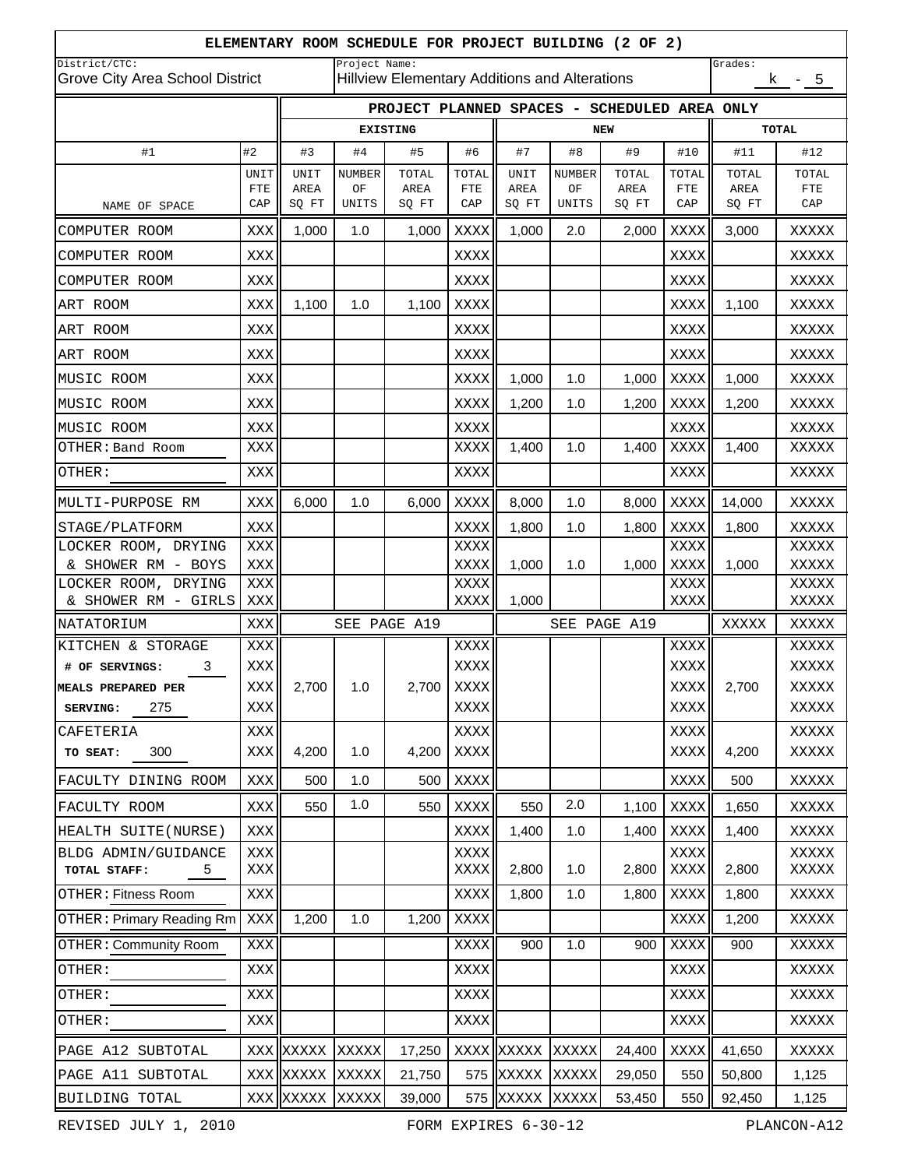|                                                  | ELEMENTARY ROOM SCHEDULE FOR PROJECT BUILDING (2 OF 2) |               |               |                                              |                                               |               |               |               |              |               |                   |
|--------------------------------------------------|--------------------------------------------------------|---------------|---------------|----------------------------------------------|-----------------------------------------------|---------------|---------------|---------------|--------------|---------------|-------------------|
| District/CTC:<br>Grove City Area School District |                                                        |               | Project Name: |                                              | Hillview Elementary Additions and Alterations |               |               |               | Grades:      | $k - 5$       |                   |
|                                                  |                                                        |               |               | PROJECT PLANNED SPACES - SCHEDULED AREA ONLY |                                               |               |               |               |              |               |                   |
|                                                  |                                                        |               |               | <b>EXISTING</b>                              |                                               | <b>NEW</b>    |               |               | <b>TOTAL</b> |               |                   |
| #1                                               | #2                                                     | #3            | #4            | #5                                           | #6                                            | #7            | #8            | #9            | #10          | #11           | #12               |
|                                                  | UNIT                                                   | UNIT          | <b>NUMBER</b> | TOTAL                                        | TOTAL                                         | UNIT          | <b>NUMBER</b> | TOTAL         | TOTAL        | TOTAL         | TOTAL             |
| NAME OF SPACE                                    | FTE<br>CAP                                             | AREA<br>SQ FT | ΟF<br>UNITS   | AREA<br>SQ FT                                | ${\tt FTE}$<br>CAP                            | AREA<br>SQ FT | OF<br>UNITS   | AREA<br>SQ FT | FTE<br>CAP   | AREA<br>SQ FT | <b>FTE</b><br>CAP |
| COMPUTER ROOM                                    | XXX                                                    | 1,000         | 1.0           | 1,000                                        | XXXX                                          | 1,000         | 2.0           | 2,000         | XXXX         | 3,000         | XXXXX             |
| COMPUTER ROOM                                    | XXX                                                    |               |               |                                              | XXXX                                          |               |               |               | XXXX         |               | XXXXX             |
| COMPUTER ROOM                                    | XXX                                                    |               |               |                                              | XXXX                                          |               |               |               | XXXX         |               | XXXXX             |
| ART ROOM                                         | XXX                                                    | 1,100         | 1.0           | 1,100                                        | XXXX                                          |               |               |               | XXXX         | 1,100         | XXXXX             |
| ART ROOM                                         | XXX                                                    |               |               |                                              | XXXX                                          |               |               |               | XXXX         |               | XXXXX             |
| ART ROOM                                         | XXX                                                    |               |               |                                              | XXXX                                          |               |               |               | XXXX         |               | XXXXX             |
| MUSIC ROOM                                       | XXX                                                    |               |               |                                              | XXXX                                          | 1,000         | 1.0           | 1,000         | XXXX         | 1,000         | XXXXX             |
| MUSIC ROOM                                       | XXX                                                    |               |               |                                              | XXXX                                          | 1,200         | 1.0           | 1,200         | XXXX         | 1,200         | XXXXX             |
| MUSIC ROOM                                       | XXX                                                    |               |               |                                              | XXXX                                          |               |               |               | XXXX         |               | XXXXX             |
| OTHER: Band Room                                 | XXX                                                    |               |               |                                              | <b>XXXX</b>                                   | 1,400         | 1.0           | 1,400         | XXXX         | 1,400         | XXXXX             |
| OTHER:                                           | XXX                                                    |               |               |                                              | XXXX                                          |               |               |               | XXXX         |               | XXXXX             |
| MULTI-PURPOSE RM                                 | XXX                                                    | 6,000         | 1.0           | 6,000                                        | XXXX                                          | 8,000         | 1.0           | 8,000         | XXXX         | 14,000        | XXXXX             |
| STAGE/PLATFORM                                   | XXX                                                    |               |               |                                              | XXXX                                          | 1,800         | 1.0           | 1,800         | XXXX         | 1,800         | XXXXX             |
| LOCKER ROOM, DRYING                              | XXX                                                    |               |               |                                              | XXXX                                          |               |               |               | XXXX         |               | XXXXX             |
| & SHOWER RM - BOYS                               | XXX                                                    |               |               |                                              | XXXX                                          | 1,000         | 1.0           | 1,000         | <b>XXXX</b>  | 1,000         | XXXXX             |
| LOCKER ROOM, DRYING<br>& SHOWER RM - GIRLS       | XXX<br>XXX                                             |               |               |                                              | XXXX<br>XXXX                                  | 1,000         |               |               | XXXX<br>XXXX |               | XXXXX<br>XXXXX    |
| NATATORIUM                                       | <b>XXX</b>                                             |               |               | SEE PAGE A19                                 |                                               |               |               | SEE PAGE A19  |              | XXXXX         | XXXXX             |
| KITCHEN & STORAGE                                | XXX                                                    |               |               |                                              | XXXX                                          |               |               |               | XXXX         |               | XXXXX             |
| # OF SERVINGS:<br>3                              | XXX                                                    |               |               |                                              | XXXX                                          |               |               |               | XXXX         |               | XXXXX             |
| MEALS PREPARED PER                               | <b>XXX</b>                                             | 2,700         | 1.0           |                                              | 2,700 XXXX                                    |               |               |               | <b>XXXX</b>  | 2,700         | XXXXX             |
| 275<br>SERVING:                                  | XXX                                                    |               |               |                                              | XXXX                                          |               |               |               | <b>XXXX</b>  |               | XXXXX             |
| CAFETERIA                                        | XXX                                                    |               |               |                                              | XXXX                                          |               |               |               | XXXX         |               | XXXXX             |
| 300<br>TO SEAT:                                  | XXX                                                    | 4,200         | 1.0           | 4,200                                        | XXXX                                          |               |               |               | <b>XXXX</b>  | 4,200         | XXXXX             |
| FACULTY DINING ROOM                              | XXX                                                    | 500           | 1.0           | 500                                          | XXXX                                          |               |               |               | XXXX         | 500           | XXXXX             |
| FACULTY ROOM                                     | XXX                                                    | 550           | 1.0           | 550                                          | XXXX                                          | 550           | 2.0           | 1,100         | XXXX         | 1,650         | XXXXX             |
| HEALTH SUITE (NURSE)                             | XXX                                                    |               |               |                                              | XXXX                                          | 1,400         | 1.0           | 1,400         | XXXX         | 1,400         | XXXXX             |
| BLDG ADMIN/GUIDANCE<br>TOTAL STAFF:<br>5         | XXX<br>XXX                                             |               |               |                                              | XXXX<br>XXXX                                  | 2,800         | 1.0           | 2,800         | XXXX<br>XXXX | 2,800         | XXXXX<br>XXXXX    |
| OTHER: Fitness Room                              | XXX                                                    |               |               |                                              | XXXX                                          | 1,800         | 1.0           | 1,800         | XXXX         | 1,800         | XXXXX             |
| <b>OTHER: Primary Reading Rm</b>                 | XXX                                                    | 1,200         | 1.0           | 1,200                                        | XXXX                                          |               |               |               | XXXX         | 1,200         | XXXXX             |
| <b>OTHER: Community Room</b>                     | XXX                                                    |               |               |                                              | XXXX                                          | 900           | 1.0           | 900           | <b>XXXX</b>  | 900           | XXXXX             |
| OTHER:                                           | XXX                                                    |               |               |                                              | XXXX                                          |               |               |               | XXXX         |               | XXXXX             |
| OTHER:                                           | <b>XXX</b>                                             |               |               |                                              | XXXX                                          |               |               |               | XXXX         |               | XXXXX             |
| OTHER:                                           | XXX                                                    |               |               |                                              | XXXX                                          |               |               |               | XXXX         |               | XXXXX             |
| PAGE A12 SUBTOTAL                                |                                                        | XXX XXXXX     | XXXXX         | 17,250                                       | XXXX                                          | XXXXX         | XXXXX         | 24,400        | <b>XXXX</b>  | 41,650        | XXXXX             |
| PAGE A11 SUBTOTAL                                |                                                        | XXX XXXXX     | XXXXX         | 21,750                                       | 575                                           | XXXXX         | XXXXX         | 29,050        | 550          | 50,800        | 1,125             |
| BUILDING TOTAL                                   |                                                        | XXX XXXXX     | XXXXX         | 39,000                                       | 575                                           | XXXXX         | XXXXX         | 53,450        | 550          | 92,450        | 1,125             |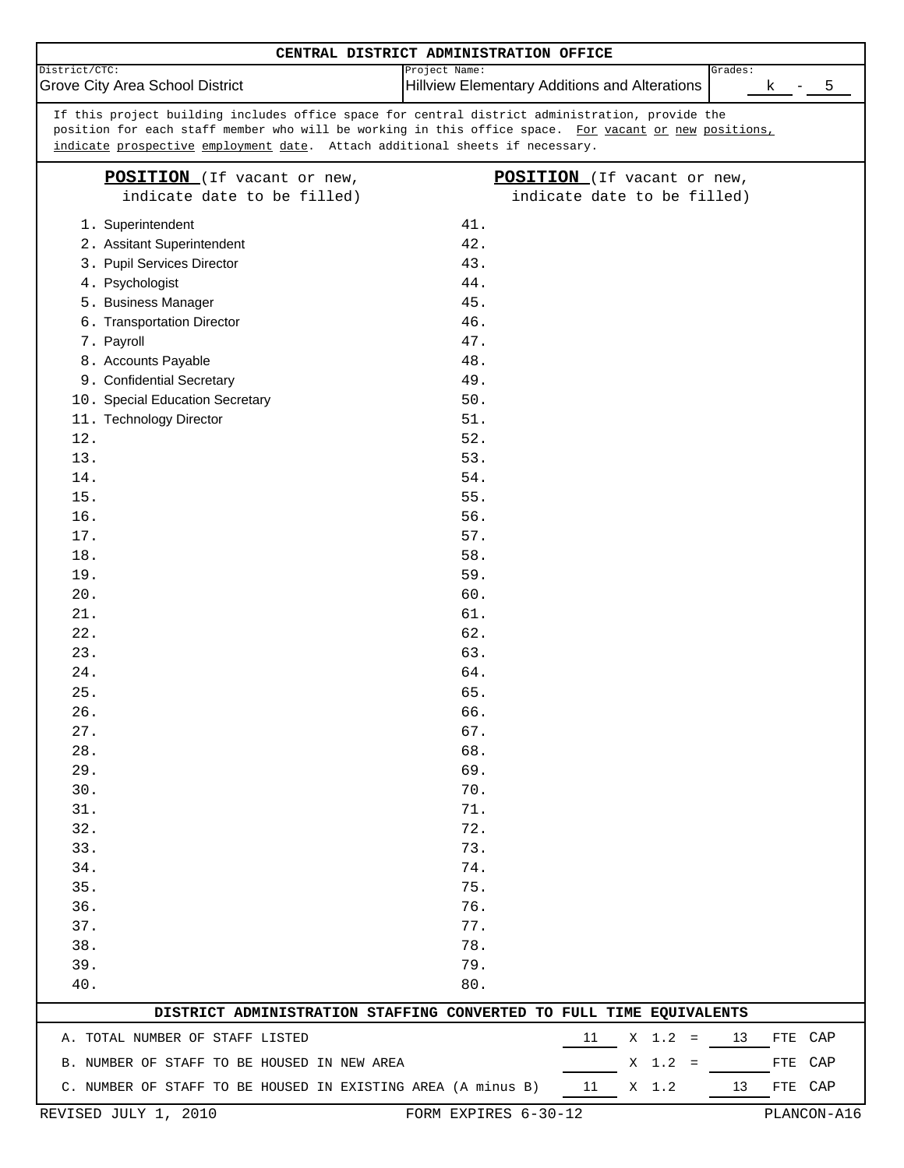|                                                                                                       | CENTRAL DISTRICT ADMINISTRATION OFFICE               |                             |         |     |             |
|-------------------------------------------------------------------------------------------------------|------------------------------------------------------|-----------------------------|---------|-----|-------------|
| District/CTC:                                                                                         | Project Name:                                        |                             | Grades: |     |             |
| Grove City Area School District                                                                       | <b>Hillview Elementary Additions and Alterations</b> |                             |         | k   | 5           |
| If this project building includes office space for central district administration, provide the       |                                                      |                             |         |     |             |
| position for each staff member who will be working in this office space. For vacant or new positions, |                                                      |                             |         |     |             |
| indicate prospective employment date. Attach additional sheets if necessary.                          |                                                      |                             |         |     |             |
| POSITION (If vacant or new,                                                                           |                                                      | POSITION (If vacant or new, |         |     |             |
| indicate date to be filled)                                                                           |                                                      | indicate date to be filled) |         |     |             |
| 1. Superintendent                                                                                     | 41.                                                  |                             |         |     |             |
| 2. Assitant Superintendent                                                                            | 42.                                                  |                             |         |     |             |
| 3. Pupil Services Director                                                                            | 43.                                                  |                             |         |     |             |
| 4. Psychologist                                                                                       | 44.                                                  |                             |         |     |             |
| 5. Business Manager                                                                                   | 45.                                                  |                             |         |     |             |
| 6. Transportation Director                                                                            | 46.                                                  |                             |         |     |             |
| 7. Payroll                                                                                            | 47.                                                  |                             |         |     |             |
| 8. Accounts Payable                                                                                   | 48.                                                  |                             |         |     |             |
| 9. Confidential Secretary                                                                             | 49.                                                  |                             |         |     |             |
| 10. Special Education Secretary                                                                       | $50.$                                                |                             |         |     |             |
| 11. Technology Director                                                                               | 51.                                                  |                             |         |     |             |
| 12.                                                                                                   | 52.                                                  |                             |         |     |             |
| 13.                                                                                                   | 53.                                                  |                             |         |     |             |
| 14.                                                                                                   | 54.                                                  |                             |         |     |             |
| 15.                                                                                                   | 55.                                                  |                             |         |     |             |
| 16.                                                                                                   | 56.                                                  |                             |         |     |             |
| 17.                                                                                                   | 57.                                                  |                             |         |     |             |
| 18.                                                                                                   | 58.                                                  |                             |         |     |             |
| 19.                                                                                                   | 59.                                                  |                             |         |     |             |
| $20$ .                                                                                                | 60.                                                  |                             |         |     |             |
| 21.                                                                                                   | 61.                                                  |                             |         |     |             |
| 22.                                                                                                   | 62.                                                  |                             |         |     |             |
| 23.                                                                                                   | 63.<br>64.                                           |                             |         |     |             |
| 24.<br>25.                                                                                            | 65.                                                  |                             |         |     |             |
| 26.                                                                                                   | 66.                                                  |                             |         |     |             |
| 27.                                                                                                   | 67.                                                  |                             |         |     |             |
| 28.                                                                                                   | 68.                                                  |                             |         |     |             |
| 29.                                                                                                   | 69.                                                  |                             |         |     |             |
| 30.                                                                                                   | 70.                                                  |                             |         |     |             |
| 31.                                                                                                   | 71.                                                  |                             |         |     |             |
| 32.                                                                                                   | 72.                                                  |                             |         |     |             |
| 33.                                                                                                   | 73.                                                  |                             |         |     |             |
| 34.                                                                                                   | 74.                                                  |                             |         |     |             |
| 35.                                                                                                   | 75.                                                  |                             |         |     |             |
| 36.                                                                                                   | 76.                                                  |                             |         |     |             |
| 37.                                                                                                   | 77.                                                  |                             |         |     |             |
| 38.                                                                                                   | 78.                                                  |                             |         |     |             |
| 39.                                                                                                   | 79.                                                  |                             |         |     |             |
| 40.                                                                                                   | $80$ .                                               |                             |         |     |             |
| DISTRICT ADMINISTRATION STAFFING CONVERTED TO FULL TIME EQUIVALENTS                                   |                                                      |                             |         |     |             |
| A. TOTAL NUMBER OF STAFF LISTED                                                                       |                                                      | 11<br>$X = 1.2 =$           | 13      | FTE | CAP         |
| B. NUMBER OF STAFF TO BE HOUSED IN NEW AREA                                                           |                                                      | $X \t1.2 =$                 |         | FTE | CAP         |
| C. NUMBER OF STAFF TO BE HOUSED IN EXISTING AREA (A minus B)                                          |                                                      | 11<br>X 1.2                 | 13      |     | FTE CAP     |
|                                                                                                       |                                                      |                             |         |     |             |
| REVISED JULY 1, 2010                                                                                  | FORM EXPIRES 6-30-12                                 |                             |         |     | PLANCON-A16 |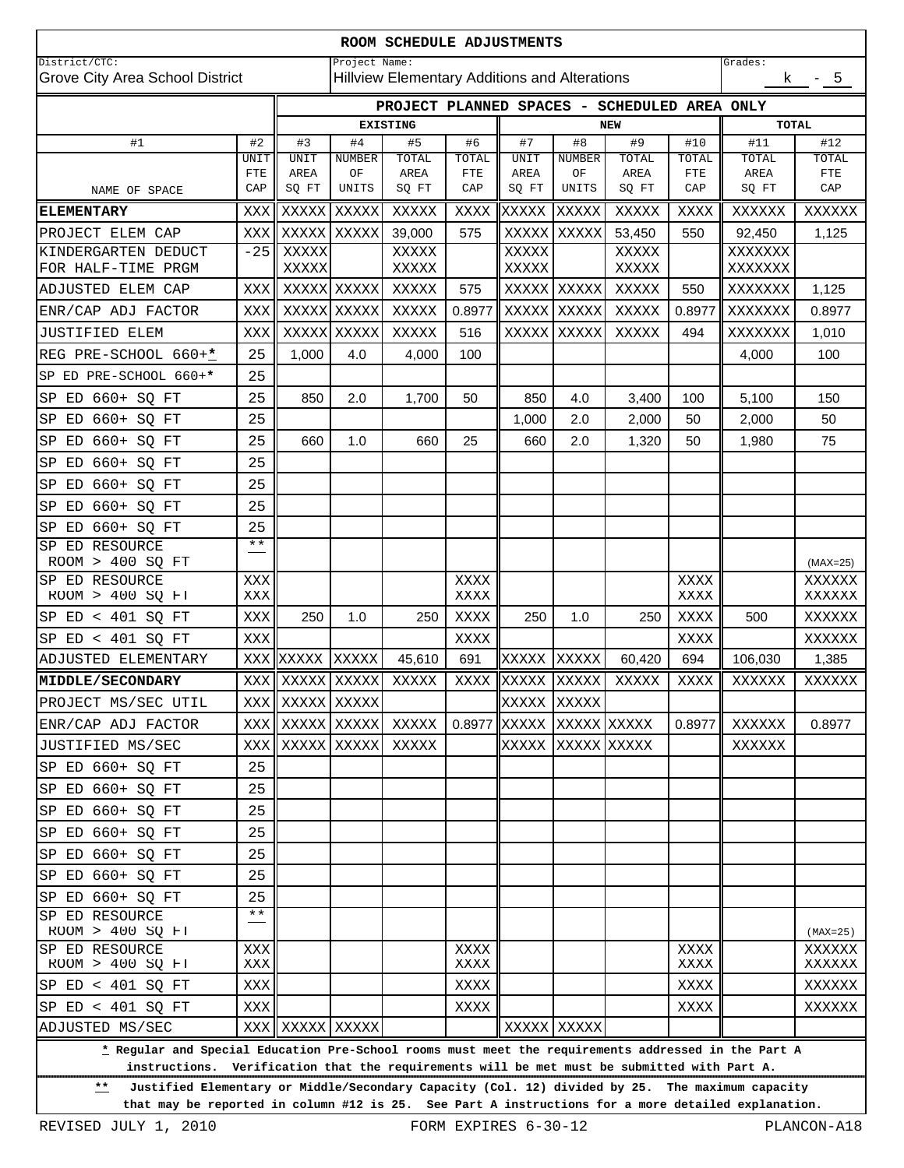| ROOM SCHEDULE ADJUSTMENTS                                                                                                                                                                                      |                    |                      |                        |             |              |                |              |             |              |              |                  |  |
|----------------------------------------------------------------------------------------------------------------------------------------------------------------------------------------------------------------|--------------------|----------------------|------------------------|-------------|--------------|----------------|--------------|-------------|--------------|--------------|------------------|--|
| District/CTC:<br>Project Name:<br>Grades:<br>Hillview Elementary Additions and Alterations                                                                                                                     |                    |                      |                        |             |              |                |              |             |              |              |                  |  |
| Grove City Area School District                                                                                                                                                                                |                    |                      |                        |             |              |                |              |             |              | k.           | $-5$             |  |
| PROJECT PLANNED SPACES - SCHEDULED AREA ONLY                                                                                                                                                                   |                    |                      |                        |             |              |                |              |             |              |              |                  |  |
|                                                                                                                                                                                                                |                    |                      | <b>EXISTING</b><br>NEW |             |              |                |              |             |              | <b>TOTAL</b> |                  |  |
| #1                                                                                                                                                                                                             | #2<br>UNIT         | #3<br>UNIT           | #4<br>NUMBER           | #5<br>TOTAL | #6<br>TOTAL  | #7<br>UNIT     | #8<br>NUMBER | #9<br>TOTAL | #10<br>TOTAL | #11<br>TOTAL | #12<br>TOTAL     |  |
|                                                                                                                                                                                                                | <b>FTE</b>         | AREA                 | ΟF                     | AREA        | FTE          | AREA           | ΟF           | AREA        | FTE          | AREA         | FTE              |  |
| NAME OF SPACE                                                                                                                                                                                                  | CAP                | SQ FT                | UNITS                  | SQ FT       | CAP          | SQ FT          | UNITS        | SQ FT       | CAP          | SQ FT        | CAP              |  |
| <b>ELEMENTARY</b>                                                                                                                                                                                              | XXX                | XXXXX                | XXXXX                  | XXXXX       | XXXX         | XXXXX          | <b>XXXXX</b> | XXXXX       | XXXX         | XXXXXX       | XXXXXX           |  |
| PROJECT ELEM CAP                                                                                                                                                                                               | XXX                | XXXXX                | XXXXX                  | 39,000      | 575          | XXXXX          | XXXXX        | 53,450      | 550          | 92,450       | 1,125            |  |
| KINDERGARTEN DEDUCT                                                                                                                                                                                            | $-25$              | XXXXX                |                        | XXXXX       |              | XXXXX          |              | XXXXX       |              | XXXXXXX      |                  |  |
| FOR HALF-TIME PRGM                                                                                                                                                                                             |                    | XXXXX                |                        | XXXXX       |              | XXXXX          |              | XXXXX       |              | XXXXXXX      |                  |  |
| ADJUSTED ELEM CAP                                                                                                                                                                                              | XXX                |                      | XXXXX XXXXX            | XXXXX       | 575          | XXXXX          | XXXXX        | XXXXX       | 550          | XXXXXXX      | 1,125            |  |
| ENR/CAP ADJ FACTOR                                                                                                                                                                                             | XXX                | XXXXX                | XXXXX                  | XXXXX       | 0.8977       | XXXXX          | XXXXX        | XXXXX       | 0.8977       | XXXXXXX      | 0.8977           |  |
| JUSTIFIED ELEM                                                                                                                                                                                                 | XXX                |                      | <b>XXXXX XXXXX</b>     | XXXXX       | 516          | XXXXX          | XXXXX        | XXXXX       | 494          | XXXXXXX      | 1,010            |  |
| REG PRE-SCHOOL 660+*                                                                                                                                                                                           | 25                 | 1,000                | 4.0                    | 4,000       | 100          |                |              |             |              | 4,000        | 100              |  |
| SP ED PRE-SCHOOL 660+*                                                                                                                                                                                         | 25                 |                      |                        |             |              |                |              |             |              |              |                  |  |
| ED 660+ SQ FT<br>SP                                                                                                                                                                                            | 25                 | 850                  | 2.0                    | 1,700       | 50           | 850            | 4.0          | 3,400       | 100          | 5,100        | 150              |  |
| ED 660+ SQ FT<br>SP                                                                                                                                                                                            | 25                 |                      |                        |             |              | 1,000          | 2.0          | 2,000       | 50           | 2,000        | 50               |  |
| ED 660+ SQ FT<br>SP                                                                                                                                                                                            | 25                 | 660                  | 1.0                    | 660         | 25           | 660            | 2.0          | 1,320       | 50           | 1,980        | 75               |  |
| ED 660+ SQ FT<br>SP                                                                                                                                                                                            | 25                 |                      |                        |             |              |                |              |             |              |              |                  |  |
| ED 660+ SQ FT<br>SP                                                                                                                                                                                            | 25                 |                      |                        |             |              |                |              |             |              |              |                  |  |
| ED 660+ SQ FT<br>SP                                                                                                                                                                                            | 25                 |                      |                        |             |              |                |              |             |              |              |                  |  |
| ED 660+ SQ FT<br>SP                                                                                                                                                                                            | 25<br>$\star\star$ |                      |                        |             |              |                |              |             |              |              |                  |  |
| ED RESOURCE<br>SP<br>ROOM > 400 SQ FT                                                                                                                                                                          |                    |                      |                        |             |              |                |              |             |              |              | $(MAX=25)$       |  |
| SP ED RESOURCE                                                                                                                                                                                                 | XXX                |                      |                        |             | XXXX         |                |              |             | XXXX         |              | XXXXXX           |  |
| ROOM > 400 SQ FT                                                                                                                                                                                               | XXX                |                      |                        |             | XXXX         |                |              |             | XXXX         |              | XXXXXX           |  |
| SP $ED < 401$ SQ $FT$                                                                                                                                                                                          | XXX                | 250                  | 1.0                    | 250         | XXXX         | 250            | 1.0          | 250         | XXXX         | 500          | XXXXXX           |  |
| SP $ED < 401$ SQ $FT$                                                                                                                                                                                          | XXX                |                      |                        |             | XXXX         |                |              |             | XXXX         |              | XXXXXX           |  |
| ADJUSTED ELEMENTARY                                                                                                                                                                                            | XXX                | XXXXX                | <b>XXXXX</b>           | 45,610      | 691          | XXXXX          | <b>XXXXX</b> | 60,420      | 694          | 106,030      | 1,385            |  |
| <b>MIDDLE/SECONDARY</b>                                                                                                                                                                                        | XXX                | XXXXX XXXXX          |                        | XXXXX       | XXXX         | XXXXX          | <b>XXXXX</b> | XXXXX       | XXXX         | XXXXXX       | XXXXXX           |  |
| PROJECT MS/SEC UTIL                                                                                                                                                                                            |                    | XXX    XXXXX   XXXXX |                        |             |              | XXXXX          | XXXXX        |             |              |              |                  |  |
| ENR/CAP ADJ FACTOR                                                                                                                                                                                             | XXX                |                      | XXXXX XXXXX            | XXXXX       |              | $0.8977$ XXXXX | XXXXX XXXXX  |             | 0.8977       | XXXXXX       | 0.8977           |  |
| JUSTIFIED MS/SEC                                                                                                                                                                                               | XXX                | XXXXX XXXXX          |                        | XXXXX       |              | XXXXX          | XXXXX XXXXX  |             |              | XXXXXX       |                  |  |
| SP ED 660+ SQ FT                                                                                                                                                                                               | 25                 |                      |                        |             |              |                |              |             |              |              |                  |  |
| SP ED 660+ SQ FT                                                                                                                                                                                               | 25                 |                      |                        |             |              |                |              |             |              |              |                  |  |
| ED 660+ SQ FT<br>SP                                                                                                                                                                                            | 25                 |                      |                        |             |              |                |              |             |              |              |                  |  |
| SP ED 660+ SQ FT                                                                                                                                                                                               | 25                 |                      |                        |             |              |                |              |             |              |              |                  |  |
| SP ED 660+ SQ FT                                                                                                                                                                                               | 25                 |                      |                        |             |              |                |              |             |              |              |                  |  |
| SP ED 660+ SQ FT                                                                                                                                                                                               | 25                 |                      |                        |             |              |                |              |             |              |              |                  |  |
| SP ED 660+ SQ FT                                                                                                                                                                                               | 25                 |                      |                        |             |              |                |              |             |              |              |                  |  |
| SP ED RESOURCE<br>ROOM > 400 SQ FT                                                                                                                                                                             | $\star\star$       |                      |                        |             |              |                |              |             |              |              | $(MAX=25)$       |  |
| SP ED RESOURCE<br>ROOM > 400 SQ FT                                                                                                                                                                             | XXX<br>XXX         |                      |                        |             | XXXX<br>XXXX |                |              |             | XXXX<br>XXXX |              | XXXXXX<br>XXXXXX |  |
| SP ED < 401 SQ FT                                                                                                                                                                                              | XXX                |                      |                        |             | XXXX         |                |              |             | XXXX         |              | XXXXXX           |  |
| SP ED < 401 SQ FT                                                                                                                                                                                              | XXX                |                      |                        |             | XXXX         |                |              |             | XXXX         |              | XXXXXX           |  |
| ADJUSTED MS/SEC                                                                                                                                                                                                |                    | XXX XXXXX XXXXX      |                        |             |              |                | XXXXX XXXXX  |             |              |              |                  |  |
| * Regular and Special Education Pre-School rooms must meet the requirements addressed in the Part A<br>instructions.<br>Verification that the requirements will be met must be submitted with Part A.          |                    |                      |                        |             |              |                |              |             |              |              |                  |  |
| Justified Elementary or Middle/Secondary Capacity (Col. 12) divided by 25. The maximum capacity<br>$***$<br>that may be reported in column #12 is 25. See Part A instructions for a more detailed explanation. |                    |                      |                        |             |              |                |              |             |              |              |                  |  |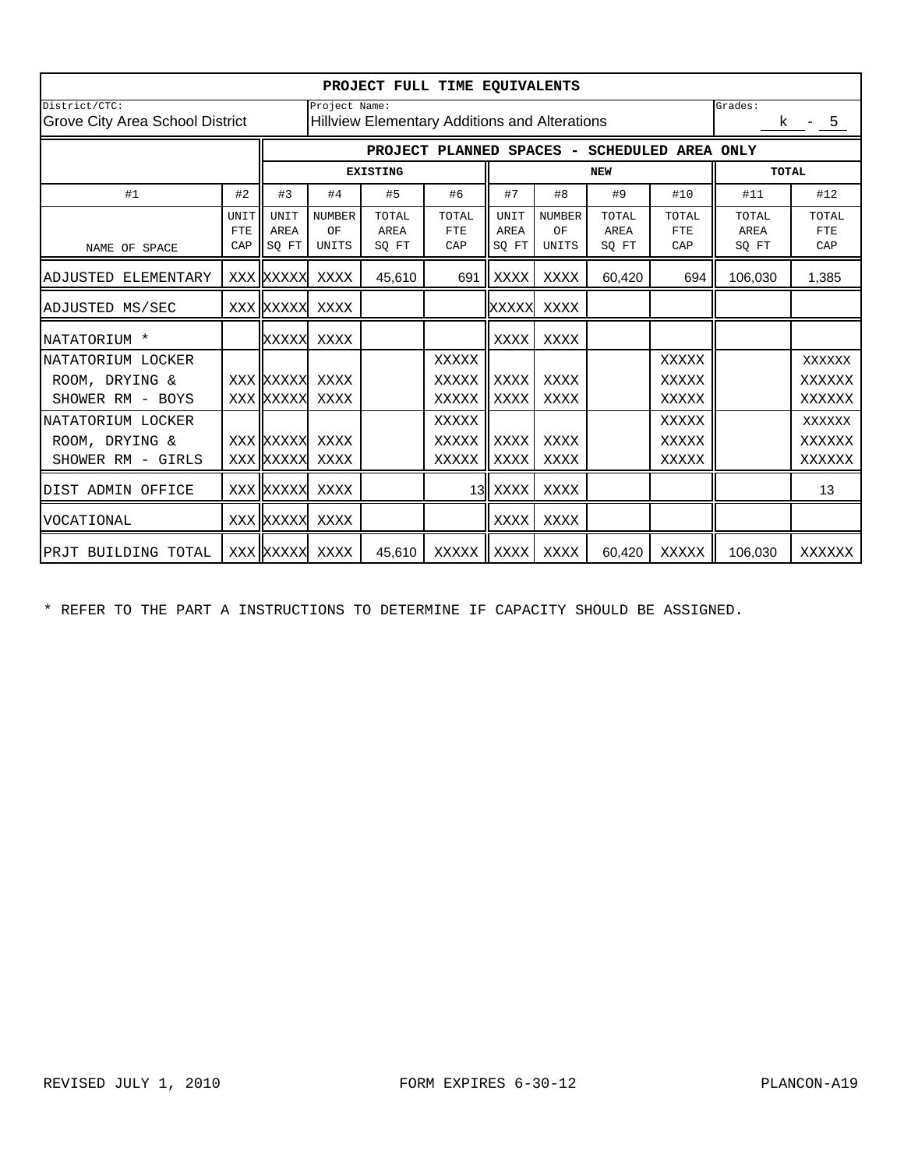| PROJECT FULL TIME EQUIVALENTS                    |                                                                |                                                 |                              |                        |                            |                       |                                     |                        |                            |                        |                            |  |
|--------------------------------------------------|----------------------------------------------------------------|-------------------------------------------------|------------------------------|------------------------|----------------------------|-----------------------|-------------------------------------|------------------------|----------------------------|------------------------|----------------------------|--|
| District/CTC:<br>Grove City Area School District | Project Name:<br>Hillview Elementary Additions and Alterations |                                                 |                              |                        |                            |                       |                                     |                        | Grades:<br>k - 5           |                        |                            |  |
|                                                  |                                                                | SCHEDULED AREA ONLY<br>PROJECT PLANNED SPACES - |                              |                        |                            |                       |                                     |                        |                            |                        |                            |  |
|                                                  |                                                                |                                                 | <b>EXISTING</b>              |                        |                            |                       |                                     | <b>NEW</b>             | <b>TOTAL</b>               |                        |                            |  |
| #1                                               | #2                                                             | #3                                              | #4                           | #5                     | #6                         | #7                    | #8                                  | #9                     | #10                        | #11                    | #12                        |  |
| NAME OF SPACE                                    | UNIT<br><b>FTE</b><br>CAP                                      | UNIT<br><b>AREA</b><br>SQ FT                    | <b>NUMBER</b><br>OF<br>UNITS | TOTAL<br>AREA<br>SQ FT | TOTAL<br><b>FTE</b><br>CAP | UNIT<br>AREA<br>SQ FT | <b>NUMBER</b><br>OF<br><b>UNITS</b> | TOTAL<br>AREA<br>SQ FT | TOTAL<br><b>FTE</b><br>CAP | TOTAL<br>AREA<br>SQ FT | TOTAL<br><b>FTE</b><br>CAP |  |
| ADJUSTED ELEMENTARY                              |                                                                | XXX XXXXX                                       | XXXX                         | 45,610                 | 691                        | XXXX                  | XXXX                                | 60,420                 | 694                        | 106,030                | 1,385                      |  |
| ADJUSTED MS/SEC                                  |                                                                | <b>XXX XXXXX</b>                                | XXXX                         |                        |                            | XXXXX                 | XXXX                                |                        |                            |                        |                            |  |
| NATATORIUM *                                     |                                                                | XXXXX                                           | XXXX                         |                        |                            | XXXX                  | XXXX                                |                        |                            |                        |                            |  |
| NATATORIUM LOCKER                                |                                                                |                                                 |                              |                        | XXXXX                      |                       |                                     |                        | XXXXX                      |                        | XXXXXX                     |  |
| ROOM, DRYING &                                   |                                                                | XXX XXXXX                                       | XXXX                         |                        | XXXXX                      | XXXX                  | XXXX                                |                        | XXXXX                      |                        | XXXXXX                     |  |
| SHOWER RM - BOYS                                 |                                                                | XXX XXXXX                                       | XXXX                         |                        | XXXXX                      | XXXX                  | XXXX                                |                        | XXXXX                      |                        | XXXXXX                     |  |
| NATATORIUM LOCKER                                |                                                                |                                                 |                              |                        | <b>XXXXX</b>               |                       |                                     |                        | <b>XXXXX</b>               |                        | <b>XXXXXX</b>              |  |
| ROOM, DRYING &                                   |                                                                | XXX XXXXX                                       | XXXX                         |                        | XXXXX                      | XXXX                  | XXXX                                |                        | XXXXX                      |                        | XXXXXX                     |  |
| SHOWER RM - GIRLS                                |                                                                | XXX XXXXX                                       | XXXX                         |                        | XXXXX                      | XXXX                  | XXXX                                |                        | XXXXX                      |                        | XXXXXX                     |  |
| DIST ADMIN OFFICE                                |                                                                | <b>XXX XXXXX</b>                                | XXXX                         |                        |                            | 13 XXXX               | XXXX                                |                        |                            |                        | 13                         |  |
| VOCATIONAL                                       |                                                                | <b>XXX XXXXX</b>                                | XXXX                         |                        |                            | XXXX                  | XXXX                                |                        |                            |                        |                            |  |
| PRJT BUILDING TOTAL                              |                                                                | XXX XXXXX                                       | XXXX                         | 45,610                 | XXXXX                      | XXXX                  | XXXX                                | 60,420                 | XXXXX                      | 106,030                | XXXXXX                     |  |

\* REFER TO THE PART A INSTRUCTIONS TO DETERMINE IF CAPACITY SHOULD BE ASSIGNED.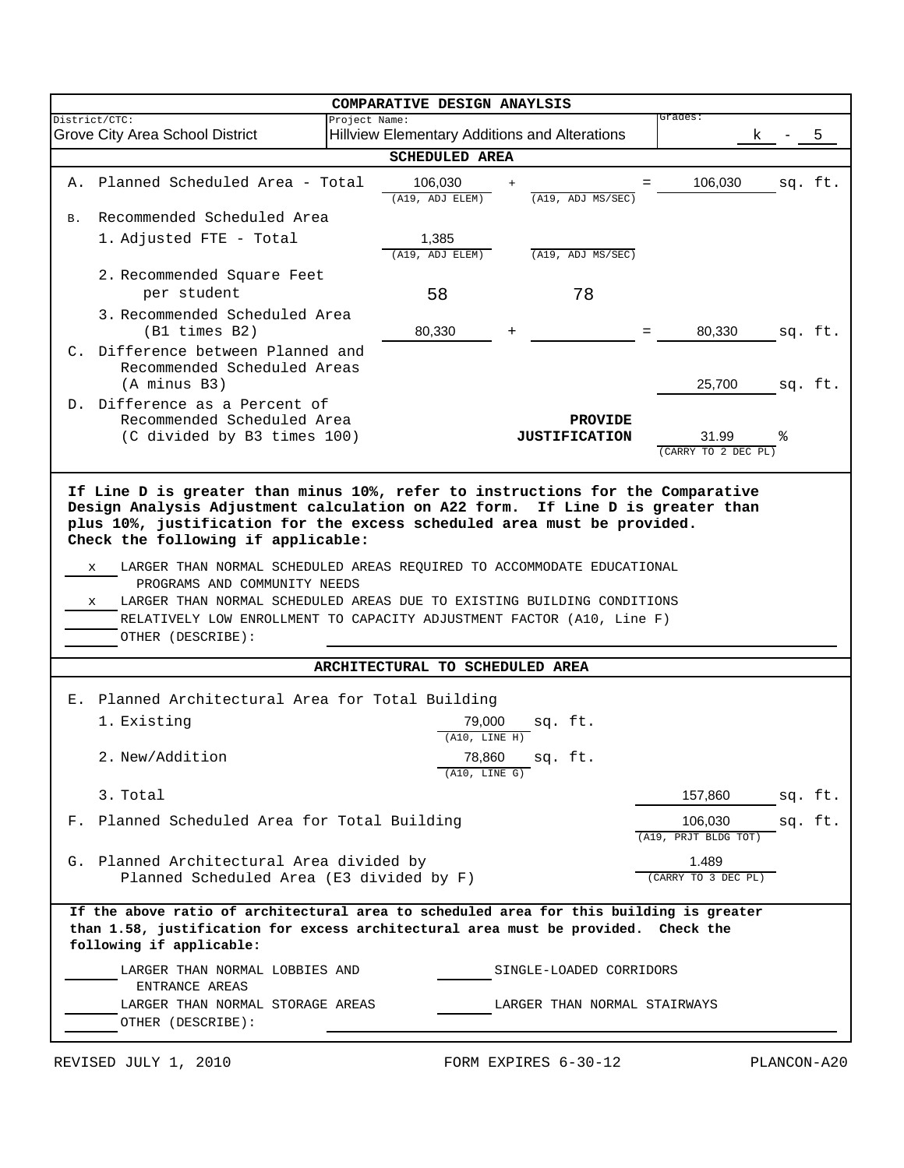|                                                                                                                                                                                                           | COMPARATIVE DESIGN ANAYLSIS                                                                                                                                                                                                                                                         |               |                                                      |  |                                        |                                 |    |         |
|-----------------------------------------------------------------------------------------------------------------------------------------------------------------------------------------------------------|-------------------------------------------------------------------------------------------------------------------------------------------------------------------------------------------------------------------------------------------------------------------------------------|---------------|------------------------------------------------------|--|----------------------------------------|---------------------------------|----|---------|
| District/CTC:                                                                                                                                                                                             | Grove City Area School District                                                                                                                                                                                                                                                     | Project Name: | <b>Hillview Elementary Additions and Alterations</b> |  |                                        | Grades:                         | k. | 5       |
|                                                                                                                                                                                                           |                                                                                                                                                                                                                                                                                     |               | <b>SCHEDULED AREA</b>                                |  |                                        |                                 |    |         |
|                                                                                                                                                                                                           | A. Planned Scheduled Area - Total                                                                                                                                                                                                                                                   |               | 106,030<br>(A19, ADJ ELEM)                           |  | (A19, ADJ MS/SEC)                      | 106,030                         |    | sq. ft. |
| B.                                                                                                                                                                                                        | Recommended Scheduled Area                                                                                                                                                                                                                                                          |               |                                                      |  |                                        |                                 |    |         |
|                                                                                                                                                                                                           | 1. Adjusted FTE - Total                                                                                                                                                                                                                                                             |               | 1,385<br>(A19, ADJ ELEM)                             |  | (A19, ADJ MS/SEC)                      |                                 |    |         |
|                                                                                                                                                                                                           | 2. Recommended Square Feet<br>per student                                                                                                                                                                                                                                           |               | 58                                                   |  | 78                                     |                                 |    |         |
|                                                                                                                                                                                                           | 3. Recommended Scheduled Area<br>$(B1 \t times B2)$                                                                                                                                                                                                                                 |               | 80,330                                               |  |                                        | 80,330                          |    | sq. ft. |
|                                                                                                                                                                                                           | C. Difference between Planned and<br>Recommended Scheduled Areas<br>(A minus B3)                                                                                                                                                                                                    |               |                                                      |  |                                        | 25,700                          |    | sq. ft. |
|                                                                                                                                                                                                           | D. Difference as a Percent of<br>Recommended Scheduled Area<br>(C divided by B3 times 100)                                                                                                                                                                                          |               |                                                      |  | <b>PROVIDE</b><br><b>JUSTIFICATION</b> | 31.99<br>(CARRY TO 2 DEC PL)    | °  |         |
| x                                                                                                                                                                                                         | LARGER THAN NORMAL SCHEDULED AREAS REQUIRED TO ACCOMMODATE EDUCATIONAL<br>x<br>PROGRAMS AND COMMUNITY NEEDS<br>LARGER THAN NORMAL SCHEDULED AREAS DUE TO EXISTING BUILDING CONDITIONS<br>RELATIVELY LOW ENROLLMENT TO CAPACITY ADJUSTMENT FACTOR (A10, Line F)<br>OTHER (DESCRIBE): |               |                                                      |  |                                        |                                 |    |         |
|                                                                                                                                                                                                           |                                                                                                                                                                                                                                                                                     |               | ARCHITECTURAL TO SCHEDULED AREA                      |  |                                        |                                 |    |         |
|                                                                                                                                                                                                           | E. Planned Architectural Area for Total Building                                                                                                                                                                                                                                    |               |                                                      |  |                                        |                                 |    |         |
|                                                                                                                                                                                                           | 1. Existing                                                                                                                                                                                                                                                                         |               | 79,000<br>(A10, LINE H)                              |  | sq. ft.                                |                                 |    |         |
|                                                                                                                                                                                                           | 2. New/Addition                                                                                                                                                                                                                                                                     |               | 78,860<br>(A10, LINE G)                              |  | sq. it.                                |                                 |    |         |
|                                                                                                                                                                                                           | 3. Total                                                                                                                                                                                                                                                                            |               |                                                      |  |                                        | 157,860                         |    | sq. ft. |
|                                                                                                                                                                                                           | F. Planned Scheduled Area for Total Building                                                                                                                                                                                                                                        |               |                                                      |  |                                        | 106,030<br>(A19, PRJT BLDG TOT) |    | sq. ft. |
|                                                                                                                                                                                                           | G. Planned Architectural Area divided by<br>Planned Scheduled Area (E3 divided by F)                                                                                                                                                                                                |               |                                                      |  |                                        | 1.489<br>(CARRY TO 3 DEC PL)    |    |         |
| If the above ratio of architectural area to scheduled area for this building is greater<br>than 1.58, justification for excess architectural area must be provided. Check the<br>following if applicable: |                                                                                                                                                                                                                                                                                     |               |                                                      |  |                                        |                                 |    |         |
| LARGER THAN NORMAL LOBBIES AND<br>SINGLE-LOADED CORRIDORS<br>ENTRANCE AREAS                                                                                                                               |                                                                                                                                                                                                                                                                                     |               |                                                      |  |                                        |                                 |    |         |
|                                                                                                                                                                                                           | LARGER THAN NORMAL STORAGE AREAS<br>OTHER (DESCRIBE):                                                                                                                                                                                                                               |               |                                                      |  | LARGER THAN NORMAL STAIRWAYS           |                                 |    |         |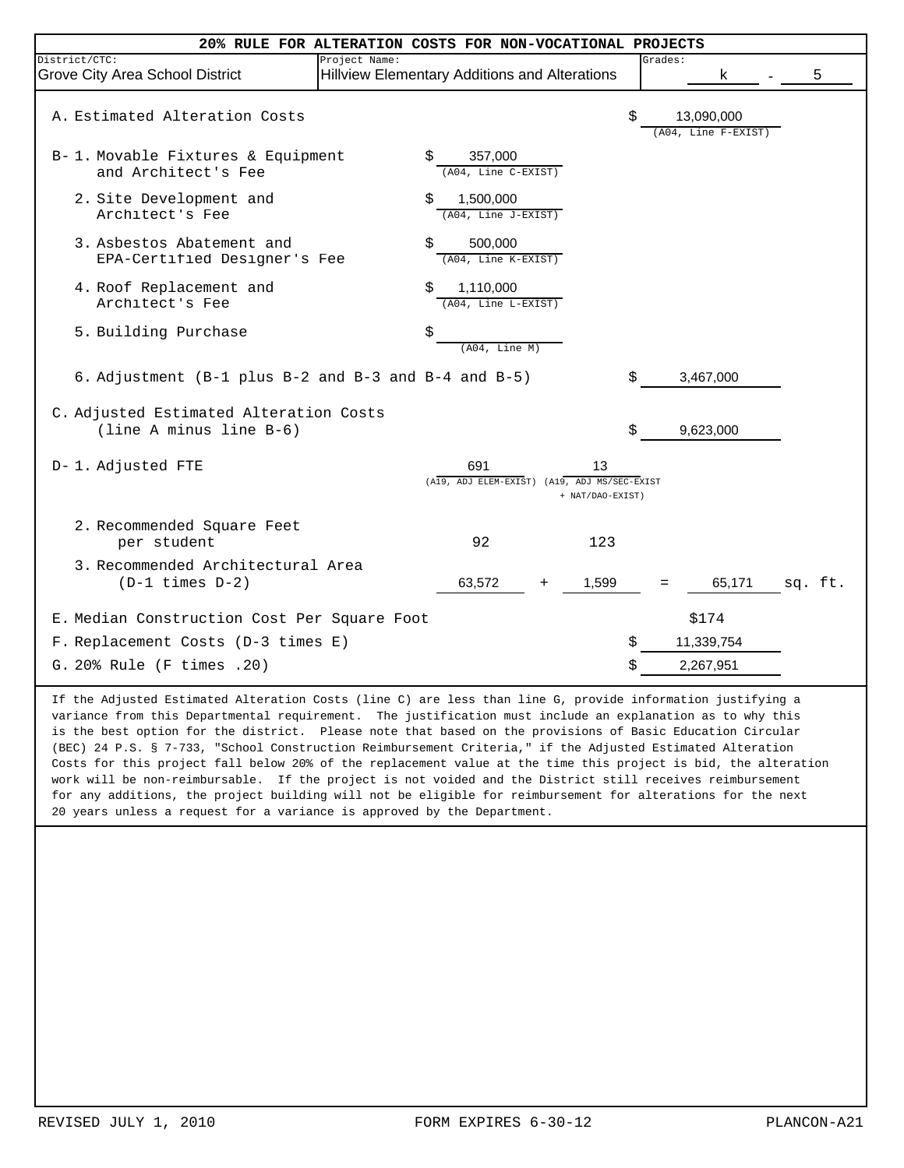|                                                                                   | 20% RULE FOR ALTERATION COSTS FOR NON-VOCATIONAL PROJECTS                     |                                         |         |  |
|-----------------------------------------------------------------------------------|-------------------------------------------------------------------------------|-----------------------------------------|---------|--|
| District/CTC:<br>Grove City Area School District                                  | Project Name:<br>Hillview Elementary Additions and Alterations                | Grades:<br>k                            | 5       |  |
| A. Estimated Alteration Costs                                                     |                                                                               | \$<br>13,090,000<br>(A04, Line F-EXIST) |         |  |
| B-1. Movable Fixtures & Equipment<br>and Architect's Fee                          | Ŝ<br>357,000<br>(A04, Line C-EXIST)                                           |                                         |         |  |
| 2. Site Development and<br>Architect's Fee                                        | \$<br>1,500,000<br>(A04, Line J-EXIST)                                        |                                         |         |  |
| 3. Asbestos Abatement and<br>EPA-Certified Designer's Fee                         | Ŝ<br>500,000<br>(A04, Line K-EXIST)                                           |                                         |         |  |
| 4. Roof Replacement and<br>Architect's Fee                                        | 1,110,000<br>\$<br>(A04, Line L-EXIST)                                        |                                         |         |  |
| 5. Building Purchase                                                              | \$<br>(A04, Line M)                                                           |                                         |         |  |
| 6. Adjustment (B-1 plus B-2 and B-3 and B-4 and B-5)                              |                                                                               | \$<br>3,467,000                         |         |  |
| C. Adjusted Estimated Alteration Costs<br>(line A minus line B-6)                 |                                                                               | \$<br>9,623,000                         |         |  |
| D-1. Adjusted FTE                                                                 | 691<br>13<br>(A19, ADJ ELEM-EXIST) (A19, ADJ MS/SEC-EXIST<br>+ NAT/DAO-EXIST) |                                         |         |  |
| 2. Recommended Square Feet<br>per student                                         | 92<br>123                                                                     |                                         |         |  |
| 3. Recommended Architectural Area<br>$(D-1 \times 1 \text{meas } D-2)$            | 63,572<br>1,599                                                               | 65,171                                  | sq. ft. |  |
| E. Median Construction Cost Per Square Foot<br>F. Replacement Costs (D-3 times E) |                                                                               | \$<br>\$174<br>11,339,754               |         |  |
| G. 20% Rule (F times . 20)                                                        |                                                                               | \$<br>2,267,951                         |         |  |

If the Adjusted Estimated Alteration Costs (line C) are less than line G, provide information justifying a variance from this Departmental requirement. The justification must include an explanation as to why this is the best option for the district. Please note that based on the provisions of Basic Education Circular (BEC) 24 P.S. § 7-733, "School Construction Reimbursement Criteria," if the Adjusted Estimated Alteration Costs for this project fall below 20% of the replacement value at the time this project is bid, the alteration work will be non-reimbursable. If the project is not voided and the District still receives reimbursement for any additions, the project building will not be eligible for reimbursement for alterations for the next 20 years unless a request for a variance is approved by the Department.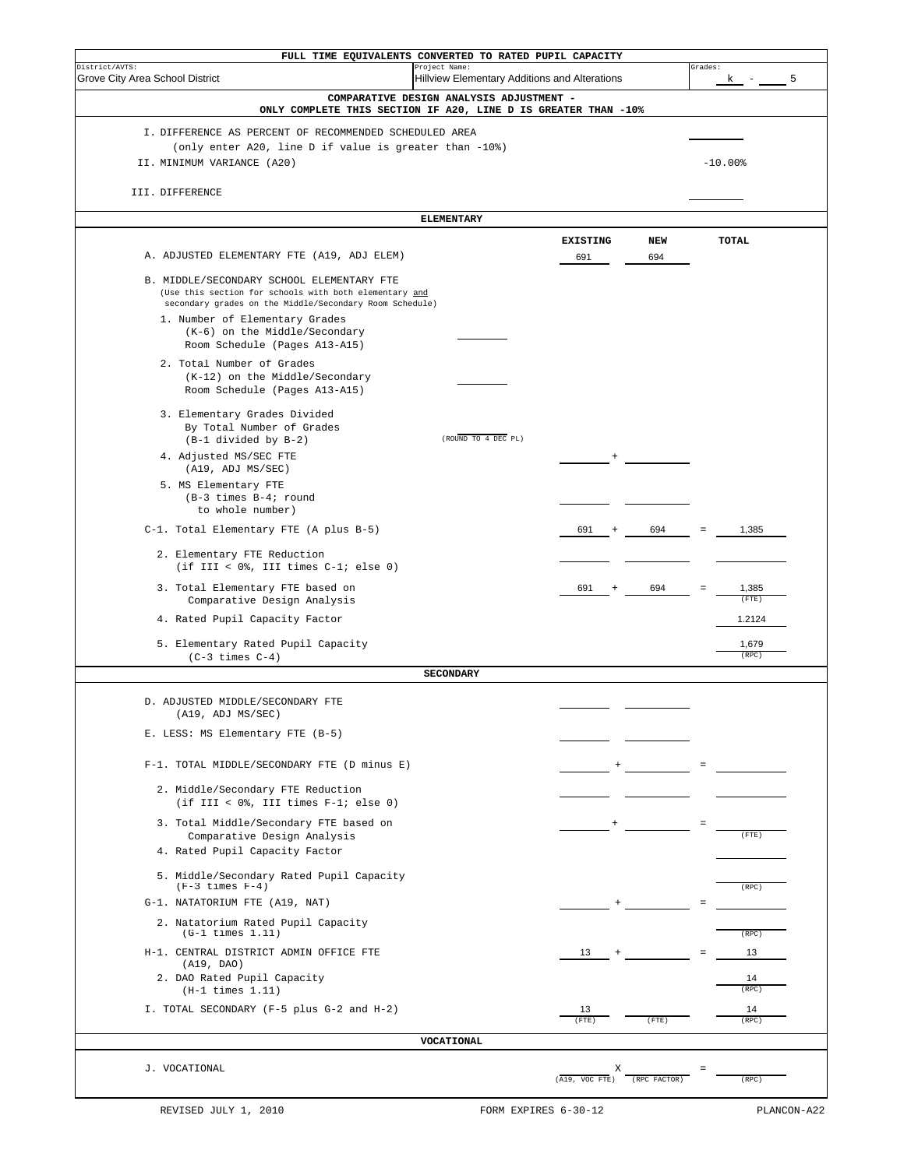| FULL TIME EQUIVALENTS CONVERTED TO RATED PUPIL CAPACITY<br>District/AVTS:<br>Project Name:                 |                                               | Grades:                     |
|------------------------------------------------------------------------------------------------------------|-----------------------------------------------|-----------------------------|
| Grove City Area School District                                                                            | Hillview Elementary Additions and Alterations | 5<br>ĸ                      |
| COMPARATIVE DESIGN ANALYSIS ADJUSTMENT -<br>ONLY COMPLETE THIS SECTION IF A20, LINE D IS GREATER THAN -10% |                                               |                             |
| I. DIFFERENCE AS PERCENT OF RECOMMENDED SCHEDULED AREA                                                     |                                               |                             |
| (only enter A20, line D if value is greater than -10%)                                                     |                                               |                             |
| II. MINIMUM VARIANCE (A20)                                                                                 |                                               | $-10.00%$                   |
| III. DIFFERENCE                                                                                            |                                               |                             |
|                                                                                                            |                                               |                             |
| <b>ELEMENTARY</b>                                                                                          |                                               |                             |
| A. ADJUSTED ELEMENTARY FTE (A19, ADJ ELEM)                                                                 | <b>EXISTING</b><br>NEW<br>694<br>691          | TOTAL                       |
|                                                                                                            |                                               |                             |
| B. MIDDLE/SECONDARY SCHOOL ELEMENTARY FTE<br>(Use this section for schools with both elementary and        |                                               |                             |
| secondary grades on the Middle/Secondary Room Schedule)                                                    |                                               |                             |
| 1. Number of Elementary Grades<br>(K-6) on the Middle/Secondary                                            |                                               |                             |
| Room Schedule (Pages A13-A15)                                                                              |                                               |                             |
| 2. Total Number of Grades                                                                                  |                                               |                             |
| (K-12) on the Middle/Secondary<br>Room Schedule (Pages A13-A15)                                            |                                               |                             |
|                                                                                                            |                                               |                             |
| 3. Elementary Grades Divided<br>By Total Number of Grades                                                  |                                               |                             |
| (ROUND TO 4 DEC PL)<br>(B-1 divided by B-2)                                                                |                                               |                             |
| 4. Adjusted MS/SEC FTE                                                                                     |                                               |                             |
| (A19, ADJ MS/SEC)<br>5. MS Elementary FTE                                                                  |                                               |                             |
| $(B-3 times B-4; round)$                                                                                   |                                               |                             |
| to whole number)                                                                                           |                                               |                             |
| C-1. Total Elementary FTE (A plus B-5)                                                                     | 691<br>694                                    | 1,385                       |
| 2. Elementary FTE Reduction<br>(if III < $0$ %, III times $C-1$ ; else 0)                                  |                                               |                             |
| 3. Total Elementary FTE based on<br>Comparative Design Analysis                                            | 694<br>691                                    | 1,385<br>$=$<br>$($ FTE $)$ |
| 4. Rated Pupil Capacity Factor                                                                             |                                               | 1.2124                      |
| 5. Elementary Rated Pupil Capacity<br>$(C-3 times C-4)$                                                    |                                               | 1,679<br>(RPC)              |
| <b>SECONDARY</b>                                                                                           |                                               |                             |
| D. ADJUSTED MIDDLE/SECONDARY FTE                                                                           |                                               |                             |
| (A19, ADJ MS/SEC)                                                                                          |                                               |                             |
| E. LESS: MS Elementary FTE (B-5)                                                                           |                                               |                             |
|                                                                                                            |                                               |                             |
| F-1. TOTAL MIDDLE/SECONDARY FTE (D minus E)                                                                |                                               |                             |
| 2. Middle/Secondary FTE Reduction<br>(if III < $0$ %, III times $F-1$ ; else 0)                            |                                               |                             |
| 3. Total Middle/Secondary FTE based on                                                                     |                                               |                             |
| Comparative Design Analysis<br>4. Rated Pupil Capacity Factor                                              |                                               | (FTE)                       |
|                                                                                                            |                                               |                             |
| 5. Middle/Secondary Rated Pupil Capacity<br>$(F-3 \times 1)$                                               |                                               | (RPC)                       |
| G-1. NATATORIUM FTE (A19, NAT)                                                                             |                                               |                             |
| 2. Natatorium Rated Pupil Capacity<br>$(G-1 \times 1 \times 1)$                                            |                                               | (RPC)                       |
| H-1. CENTRAL DISTRICT ADMIN OFFICE FTE                                                                     | 13                                            | 13                          |
| (A19, DAO)<br>2. DAO Rated Pupil Capacity                                                                  |                                               | 14                          |
| $(H-1 \times 1 \times 1.11)$                                                                               |                                               | (RPC)                       |
| I. TOTAL SECONDARY (F-5 plus G-2 and H-2)                                                                  | 13<br>$($ FTE $)$<br>(FTE)                    | 14<br>(RPC)                 |
| VOCATIONAL                                                                                                 |                                               |                             |
| J. VOCATIONAL                                                                                              | Х                                             |                             |
|                                                                                                            | (A19, VOC FTE)<br>(RPC FACTOR)                | (RPC)                       |
|                                                                                                            |                                               |                             |